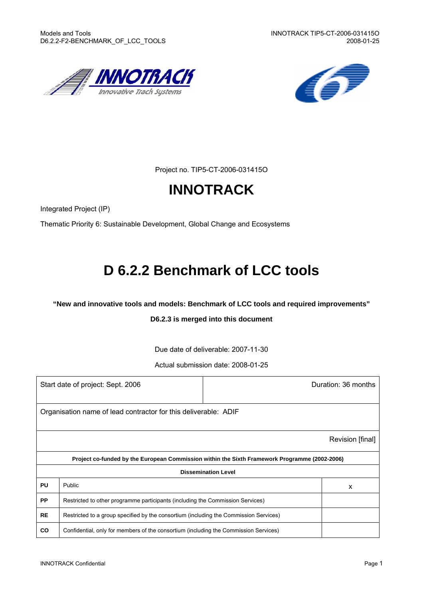



Project no. TIP5-CT-2006-031415O

# **INNOTRACK**

Integrated Project (IP)

Thematic Priority 6: Sustainable Development, Global Change and Ecosystems

# **D 6.2.2 Benchmark of LCC tools**

**"New and innovative tools and models: Benchmark of LCC tools and required improvements"** 

#### **D6.2.3 is merged into this document**

Due date of deliverable: 2007-11-30

Actual submission date: 2008-01-25

| Start date of project: Sept. 2006 | Duration: 36 months                                                                           |                            |   |  |  |  |
|-----------------------------------|-----------------------------------------------------------------------------------------------|----------------------------|---|--|--|--|
|                                   | Organisation name of lead contractor for this deliverable: ADIF                               |                            |   |  |  |  |
|                                   | Revision [final]                                                                              |                            |   |  |  |  |
|                                   | Project co-funded by the European Commission within the Sixth Framework Programme (2002-2006) |                            |   |  |  |  |
|                                   |                                                                                               | <b>Dissemination Level</b> |   |  |  |  |
| <b>PU</b>                         | Public                                                                                        |                            | X |  |  |  |
| <b>PP</b>                         | Restricted to other programme participants (including the Commission Services)                |                            |   |  |  |  |
| <b>RE</b>                         | Restricted to a group specified by the consortium (including the Commission Services)         |                            |   |  |  |  |
| <b>CO</b>                         | Confidential, only for members of the consortium (including the Commission Services)          |                            |   |  |  |  |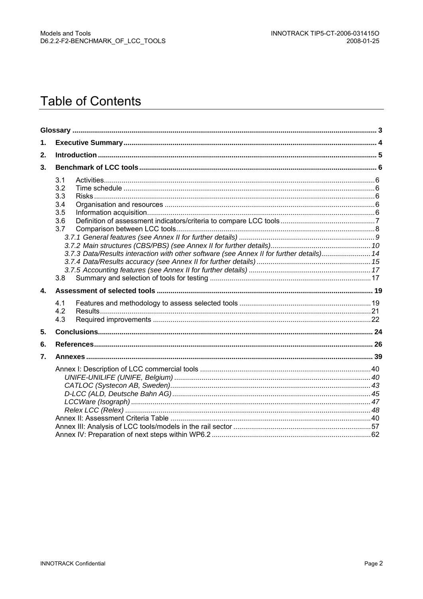# **Table of Contents**

| $\mathbf 1$ . |                                                                                                                                                  |  |
|---------------|--------------------------------------------------------------------------------------------------------------------------------------------------|--|
| 2.            |                                                                                                                                                  |  |
| 3.            |                                                                                                                                                  |  |
|               | 3.1<br>3.2<br>3.3<br>3.4<br>3.5<br>3.6<br>3.7<br>3.7.3 Data/Results interaction with other software (see Annex II for further details) 14<br>3.8 |  |
| $\mathbf{4}$  |                                                                                                                                                  |  |
|               | 4.1                                                                                                                                              |  |
|               | 4.2<br>4.3                                                                                                                                       |  |
| 5.            |                                                                                                                                                  |  |
| 6.            |                                                                                                                                                  |  |
| 7.            |                                                                                                                                                  |  |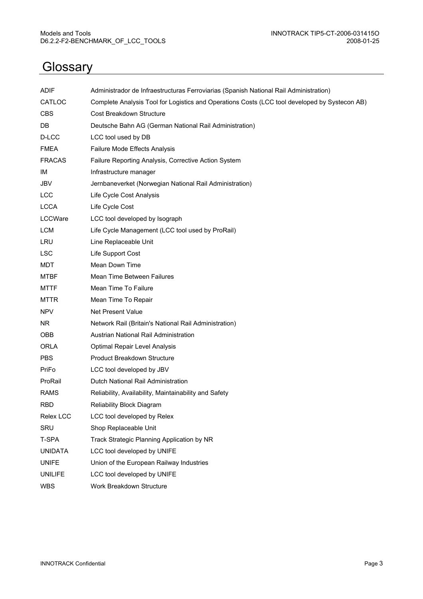# **Glossary**

| <b>ADIF</b>    | Administrador de Infraestructuras Ferroviarias (Spanish National Rail Administration)         |
|----------------|-----------------------------------------------------------------------------------------------|
| CATLOC         | Complete Analysis Tool for Logistics and Operations Costs (LCC tool developed by Systecon AB) |
| <b>CBS</b>     | Cost Breakdown Structure                                                                      |
| DB             | Deutsche Bahn AG (German National Rail Administration)                                        |
| D-LCC          | LCC tool used by DB                                                                           |
| <b>FMEA</b>    | Failure Mode Effects Analysis                                                                 |
| <b>FRACAS</b>  | Failure Reporting Analysis, Corrective Action System                                          |
| ΙM             | Infrastructure manager                                                                        |
| JBV            | Jernbaneverket (Norwegian National Rail Administration)                                       |
| <b>LCC</b>     | Life Cycle Cost Analysis                                                                      |
| <b>LCCA</b>    | Life Cycle Cost                                                                               |
| LCCWare        | LCC tool developed by Isograph                                                                |
| <b>LCM</b>     | Life Cycle Management (LCC tool used by ProRail)                                              |
| LRU            | Line Replaceable Unit                                                                         |
| <b>LSC</b>     | Life Support Cost                                                                             |
| MDT            | Mean Down Time                                                                                |
| <b>MTBF</b>    | Mean Time Between Failures                                                                    |
| <b>MTTF</b>    | Mean Time To Failure                                                                          |
| <b>MTTR</b>    | Mean Time To Repair                                                                           |
| <b>NPV</b>     | <b>Net Present Value</b>                                                                      |
| NR.            | Network Rail (Britain's National Rail Administration)                                         |
| OBB            | Austrian National Rail Administration                                                         |
| <b>ORLA</b>    | Optimal Repair Level Analysis                                                                 |
| <b>PBS</b>     | Product Breakdown Structure                                                                   |
| PriFo          | LCC tool developed by JBV                                                                     |
| ProRail        | Dutch National Rail Administration                                                            |
| <b>RAMS</b>    | Reliability, Availability, Maintainability and Safety                                         |
| <b>RBD</b>     | Reliability Block Diagram                                                                     |
| Relex LCC      | LCC tool developed by Relex                                                                   |
| SRU            | Shop Replaceable Unit                                                                         |
| T-SPA          | Track Strategic Planning Application by NR                                                    |
| <b>UNIDATA</b> | LCC tool developed by UNIFE                                                                   |
| <b>UNIFE</b>   | Union of the European Railway Industries                                                      |
| <b>UNILIFE</b> | LCC tool developed by UNIFE                                                                   |
| <b>WBS</b>     | Work Breakdown Structure                                                                      |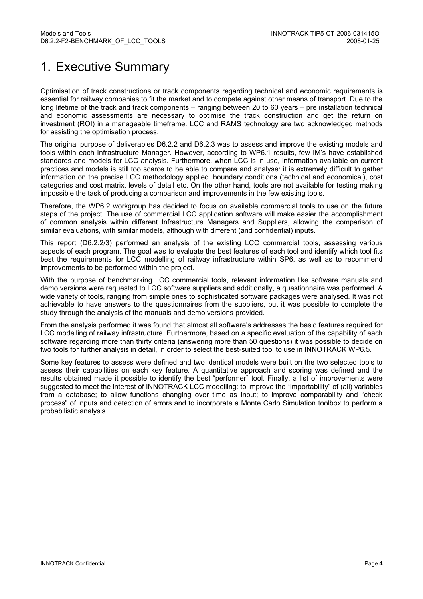# 1. Executive Summary

Optimisation of track constructions or track components regarding technical and economic requirements is essential for railway companies to fit the market and to compete against other means of transport. Due to the long lifetime of the track and track components – ranging between 20 to 60 years – pre installation technical and economic assessments are necessary to optimise the track construction and get the return on investment (ROI) in a manageable timeframe. LCC and RAMS technology are two acknowledged methods for assisting the optimisation process.

The original purpose of deliverables D6.2.2 and D6.2.3 was to assess and improve the existing models and tools within each Infrastructure Manager. However, according to WP6.1 results, few IM's have established standards and models for LCC analysis. Furthermore, when LCC is in use, information available on current practices and models is still too scarce to be able to compare and analyse: it is extremely difficult to gather information on the precise LCC methodology applied, boundary conditions (technical and economical), cost categories and cost matrix, levels of detail etc. On the other hand, tools are not available for testing making impossible the task of producing a comparison and improvements in the few existing tools.

Therefore, the WP6.2 workgroup has decided to focus on available commercial tools to use on the future steps of the project. The use of commercial LCC application software will make easier the accomplishment of common analysis within different Infrastructure Managers and Suppliers, allowing the comparison of similar evaluations, with similar models, although with different (and confidential) inputs.

This report (D6.2.2/3) performed an analysis of the existing LCC commercial tools, assessing various aspects of each program. The goal was to evaluate the best features of each tool and identify which tool fits best the requirements for LCC modelling of railway infrastructure within SP6, as well as to recommend improvements to be performed within the project.

With the purpose of benchmarking LCC commercial tools, relevant information like software manuals and demo versions were requested to LCC software suppliers and additionally, a questionnaire was performed. A wide variety of tools, ranging from simple ones to sophisticated software packages were analysed. It was not achievable to have answers to the questionnaires from the suppliers, but it was possible to complete the study through the analysis of the manuals and demo versions provided.

From the analysis performed it was found that almost all software's addresses the basic features required for LCC modelling of railway infrastructure. Furthermore, based on a specific evaluation of the capability of each software regarding more than thirty criteria (answering more than 50 questions) it was possible to decide on two tools for further analysis in detail, in order to select the best-suited tool to use in INNOTRACK WP6.5.

Some key features to assess were defined and two identical models were built on the two selected tools to assess their capabilities on each key feature. A quantitative approach and scoring was defined and the results obtained made it possible to identify the best "performer" tool. Finally, a list of improvements were suggested to meet the interest of INNOTRACK LCC modelling: to improve the "Importability" of (all) variables from a database; to allow functions changing over time as input; to improve comparability and "check process" of inputs and detection of errors and to incorporate a Monte Carlo Simulation toolbox to perform a probabilistic analysis.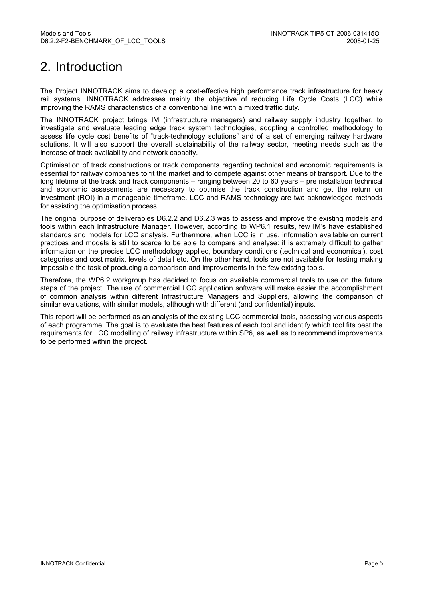# 2. Introduction

The Project INNOTRACK aims to develop a cost-effective high performance track infrastructure for heavy rail systems. INNOTRACK addresses mainly the objective of reducing Life Cycle Costs (LCC) while improving the RAMS characteristics of a conventional line with a mixed traffic duty.

The INNOTRACK project brings IM (infrastructure managers) and railway supply industry together, to investigate and evaluate leading edge track system technologies, adopting a controlled methodology to assess life cycle cost benefits of "track-technology solutions" and of a set of emerging railway hardware solutions. It will also support the overall sustainability of the railway sector, meeting needs such as the increase of track availability and network capacity.

Optimisation of track constructions or track components regarding technical and economic requirements is essential for railway companies to fit the market and to compete against other means of transport. Due to the long lifetime of the track and track components – ranging between 20 to 60 years – pre installation technical and economic assessments are necessary to optimise the track construction and get the return on investment (ROI) in a manageable timeframe. LCC and RAMS technology are two acknowledged methods for assisting the optimisation process.

The original purpose of deliverables D6.2.2 and D6.2.3 was to assess and improve the existing models and tools within each Infrastructure Manager. However, according to WP6.1 results, few IM's have established standards and models for LCC analysis. Furthermore, when LCC is in use, information available on current practices and models is still to scarce to be able to compare and analyse: it is extremely difficult to gather information on the precise LCC methodology applied, boundary conditions (technical and economical), cost categories and cost matrix, levels of detail etc. On the other hand, tools are not available for testing making impossible the task of producing a comparison and improvements in the few existing tools.

Therefore, the WP6.2 workgroup has decided to focus on available commercial tools to use on the future steps of the project. The use of commercial LCC application software will make easier the accomplishment of common analysis within different Infrastructure Managers and Suppliers, allowing the comparison of similar evaluations, with similar models, although with different (and confidential) inputs.

This report will be performed as an analysis of the existing LCC commercial tools, assessing various aspects of each programme. The goal is to evaluate the best features of each tool and identify which tool fits best the requirements for LCC modelling of railway infrastructure within SP6, as well as to recommend improvements to be performed within the project.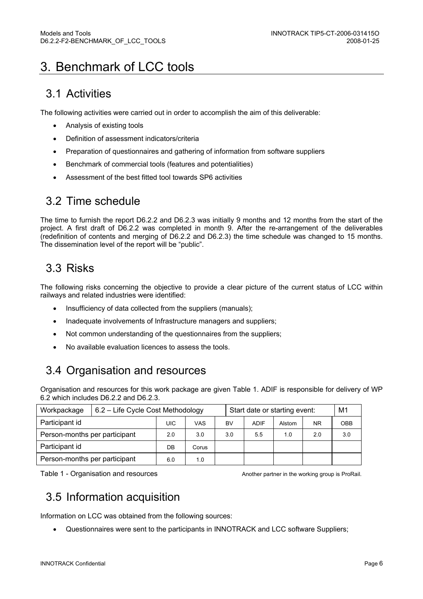# 3. Benchmark of LCC tools

## 3.1 Activities

The following activities were carried out in order to accomplish the aim of this deliverable:

- Analysis of existing tools
- Definition of assessment indicators/criteria
- Preparation of questionnaires and gathering of information from software suppliers
- Benchmark of commercial tools (features and potentialities)
- Assessment of the best fitted tool towards SP6 activities

## 3.2 Time schedule

The time to furnish the report D6.2.2 and D6.2.3 was initially 9 months and 12 months from the start of the project. A first draft of D6.2.2 was completed in month 9. After the re-arrangement of the deliverables (redefinition of contents and merging of D6.2.2 and D6.2.3) the time schedule was changed to 15 months. The dissemination level of the report will be "public".

## 3.3 Risks

The following risks concerning the objective to provide a clear picture of the current status of LCC within railways and related industries were identified:

- Insufficiency of data collected from the suppliers (manuals):
- Inadequate involvements of Infrastructure managers and suppliers;
- Not common understanding of the questionnaires from the suppliers;
- No available evaluation licences to assess the tools.

## 3.4 Organisation and resources

Organisation and resources for this work package are given Table 1. ADIF is responsible for delivery of WP 6.2 which includes D6.2.2 and D6.2.3.

| Workpackage                   | 6.2 - Life Cycle Cost Methodology |       |      | Start date or starting event: |             |        | M1        |            |
|-------------------------------|-----------------------------------|-------|------|-------------------------------|-------------|--------|-----------|------------|
| Participant id                |                                   | UIC   | VAS. | BV                            | <b>ADIF</b> | Alstom | <b>NR</b> | <b>OBB</b> |
| Person-months per participant | 2.0                               | 3.0   | 3.0  | 5.5                           | 1.0         | 2.0    | 3.0       |            |
| Participant id                | DB                                | Corus |      |                               |             |        |           |            |
| Person-months per participant | 6.0                               | 1.0   |      |                               |             |        |           |            |

Table 1 - Organisation and resources Table 1 - Organisation and resources Another partner in the working group is ProRail.

## 3.5 Information acquisition

Information on LCC was obtained from the following sources:

• Questionnaires were sent to the participants in INNOTRACK and LCC software Suppliers;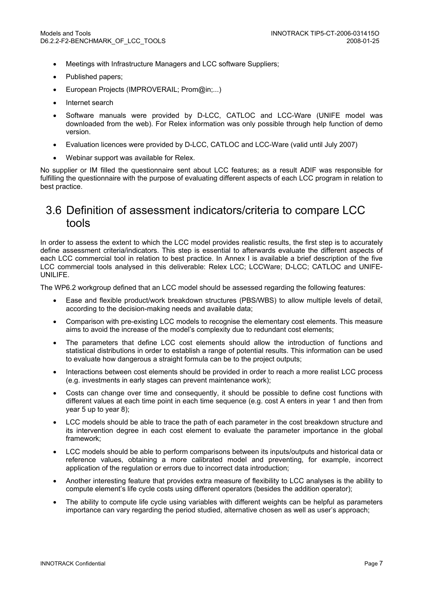- Meetings with Infrastructure Managers and LCC software Suppliers;
- Published papers;
- European Projects (IMPROVERAIL; Prom@in;...)
- Internet search
- Software manuals were provided by D-LCC, CATLOC and LCC-Ware (UNIFE model was downloaded from the web). For Relex information was only possible through help function of demo version.
- Evaluation licences were provided by D-LCC, CATLOC and LCC-Ware (valid until July 2007)
- Webinar support was available for Relex.

No supplier or IM filled the questionnaire sent about LCC features; as a result ADIF was responsible for fulfilling the questionnaire with the purpose of evaluating different aspects of each LCC program in relation to best practice.

## 3.6 Definition of assessment indicators/criteria to compare LCC tools

In order to assess the extent to which the LCC model provides realistic results, the first step is to accurately define assessment criteria/indicators. This step is essential to afterwards evaluate the different aspects of each LCC commercial tool in relation to best practice. In Annex I is available a brief description of the five LCC commercial tools analysed in this deliverable: Relex LCC; LCCWare; D-LCC; CATLOC and UNIFE-UNILIFE.

The WP6.2 workgroup defined that an LCC model should be assessed regarding the following features:

- Ease and flexible product/work breakdown structures (PBS/WBS) to allow multiple levels of detail, according to the decision-making needs and available data;
- Comparison with pre-existing LCC models to recognise the elementary cost elements. This measure aims to avoid the increase of the model's complexity due to redundant cost elements;
- The parameters that define LCC cost elements should allow the introduction of functions and statistical distributions in order to establish a range of potential results. This information can be used to evaluate how dangerous a straight formula can be to the project outputs;
- Interactions between cost elements should be provided in order to reach a more realist LCC process (e.g. investments in early stages can prevent maintenance work);
- Costs can change over time and consequently, it should be possible to define cost functions with different values at each time point in each time sequence (e.g. cost A enters in year 1 and then from year 5 up to year 8);
- LCC models should be able to trace the path of each parameter in the cost breakdown structure and its intervention degree in each cost element to evaluate the parameter importance in the global framework;
- LCC models should be able to perform comparisons between its inputs/outputs and historical data or reference values, obtaining a more calibrated model and preventing, for example, incorrect application of the regulation or errors due to incorrect data introduction;
- Another interesting feature that provides extra measure of flexibility to LCC analyses is the ability to compute element's life cycle costs using different operators (besides the addition operator);
- The ability to compute life cycle using variables with different weights can be helpful as parameters importance can vary regarding the period studied, alternative chosen as well as user's approach;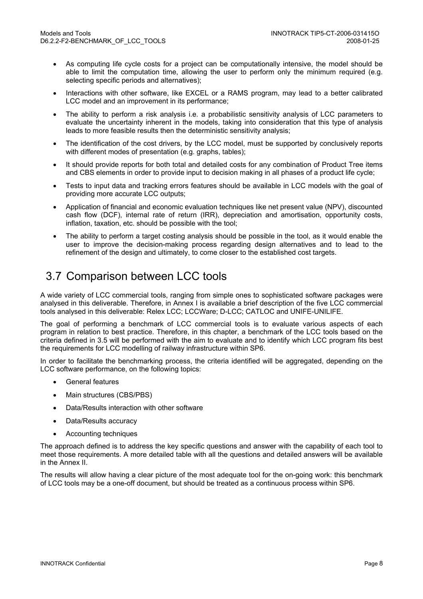- As computing life cycle costs for a project can be computationally intensive, the model should be able to limit the computation time, allowing the user to perform only the minimum required (e.g. selecting specific periods and alternatives);
- Interactions with other software, like EXCEL or a RAMS program, may lead to a better calibrated LCC model and an improvement in its performance;
- The ability to perform a risk analysis i.e. a probabilistic sensitivity analysis of LCC parameters to evaluate the uncertainty inherent in the models, taking into consideration that this type of analysis leads to more feasible results then the deterministic sensitivity analysis;
- The identification of the cost drivers, by the LCC model, must be supported by conclusively reports with different modes of presentation (e.g. graphs, tables);
- It should provide reports for both total and detailed costs for any combination of Product Tree items and CBS elements in order to provide input to decision making in all phases of a product life cycle;
- Tests to input data and tracking errors features should be available in LCC models with the goal of providing more accurate LCC outputs;
- Application of financial and economic evaluation techniques like net present value (NPV), discounted cash flow (DCF), internal rate of return (IRR), depreciation and amortisation, opportunity costs, inflation, taxation, etc. should be possible with the tool;
- The ability to perform a target costing analysis should be possible in the tool, as it would enable the user to improve the decision-making process regarding design alternatives and to lead to the refinement of the design and ultimately, to come closer to the established cost targets.

## 3.7 Comparison between LCC tools

A wide variety of LCC commercial tools, ranging from simple ones to sophisticated software packages were analysed in this deliverable. Therefore, in Annex I is available a brief description of the five LCC commercial tools analysed in this deliverable: Relex LCC; LCCWare; D-LCC; CATLOC and UNIFE-UNILIFE.

The goal of performing a benchmark of LCC commercial tools is to evaluate various aspects of each program in relation to best practice. Therefore, in this chapter, a benchmark of the LCC tools based on the criteria defined in 3.5 will be performed with the aim to evaluate and to identify which LCC program fits best the requirements for LCC modelling of railway infrastructure within SP6.

In order to facilitate the benchmarking process, the criteria identified will be aggregated, depending on the LCC software performance, on the following topics:

- General features
- Main structures (CBS/PBS)
- Data/Results interaction with other software
- Data/Results accuracy
- Accounting techniques

The approach defined is to address the key specific questions and answer with the capability of each tool to meet those requirements. A more detailed table with all the questions and detailed answers will be available in the Annex II.

The results will allow having a clear picture of the most adequate tool for the on-going work: this benchmark of LCC tools may be a one-off document, but should be treated as a continuous process within SP6.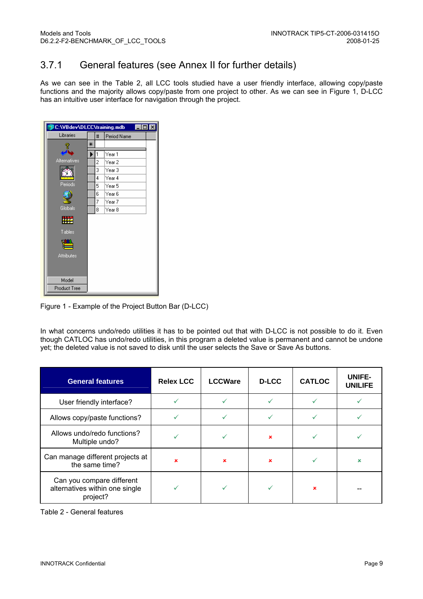### 3.7.1 General features (see Annex II for further details)

As we can see in the Table 2, all LCC tools studied have a user friendly interface, allowing copy/paste functions and the majority allows copy/paste from one project to other. As we can see in Figure 1, D-LCC has an intuitive user interface for navigation through the project.

| 第C:\VBdev\DLCC\training.mdb<br>l⊥l⊡l× |   |   |                   |  |  |  |  |
|---------------------------------------|---|---|-------------------|--|--|--|--|
| Libraries                             |   | # | Period Name       |  |  |  |  |
|                                       | ⋇ |   |                   |  |  |  |  |
|                                       |   | 1 | Year 1            |  |  |  |  |
| Alternatives                          |   | 2 | Year 2            |  |  |  |  |
|                                       |   | 3 | Year <sub>3</sub> |  |  |  |  |
|                                       |   | 4 | Year 4            |  |  |  |  |
| Periods                               |   | 5 | Year 5            |  |  |  |  |
|                                       |   | 6 | Year 6            |  |  |  |  |
|                                       |   | 7 | Year 7            |  |  |  |  |
| Globals                               |   | 8 | Year <sub>8</sub> |  |  |  |  |
| 噬                                     |   |   |                   |  |  |  |  |
| Tables                                |   |   |                   |  |  |  |  |
|                                       |   |   |                   |  |  |  |  |
| <b>Attributes</b>                     |   |   |                   |  |  |  |  |
|                                       |   |   |                   |  |  |  |  |
| Model                                 |   |   |                   |  |  |  |  |
| <b>Product Tree</b>                   |   |   |                   |  |  |  |  |

Figure 1 - Example of the Project Button Bar (D-LCC)

In what concerns undo/redo utilities it has to be pointed out that with D-LCC is not possible to do it. Even though CATLOC has undo/redo utilities, in this program a deleted value is permanent and cannot be undone yet; the deleted value is not saved to disk until the user selects the Save or Save As buttons.

| <b>General features</b>                                                 | <b>Relex LCC</b> | <b>LCCWare</b> | <b>D-LCC</b>              | <b>CATLOC</b> | UNIFE-<br><b>UNILIFE</b> |
|-------------------------------------------------------------------------|------------------|----------------|---------------------------|---------------|--------------------------|
| User friendly interface?                                                |                  |                |                           |               |                          |
| Allows copy/paste functions?                                            |                  |                |                           |               |                          |
| Allows undo/redo functions?<br>Multiple undo?                           |                  |                | $\boldsymbol{\mathsf{x}}$ |               |                          |
| Can manage different projects at<br>the same time?                      |                  | $\mathbf x$    | $\boldsymbol{\mathsf{x}}$ |               |                          |
| Can you compare different<br>alternatives within one single<br>project? |                  |                |                           | ×             |                          |

Table 2 - General features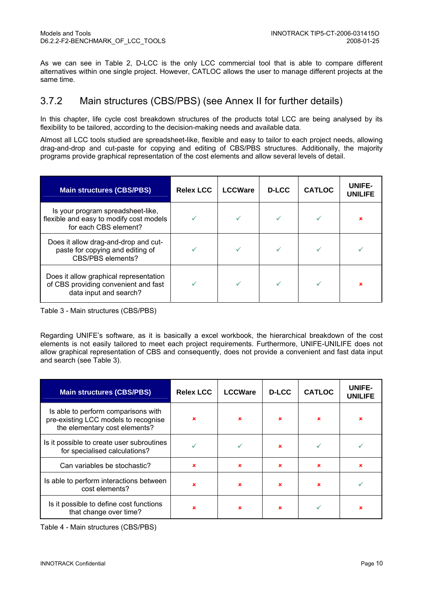As we can see in Table 2, D-LCC is the only LCC commercial tool that is able to compare different alternatives within one single project. However, CATLOC allows the user to manage different projects at the same time.

#### 3.7.2 Main structures (CBS/PBS) (see Annex II for further details)

In this chapter, life cycle cost breakdown structures of the products total LCC are being analysed by its flexibility to be tailored, according to the decision-making needs and available data.

Almost all LCC tools studied are spreadsheet-like, flexible and easy to tailor to each project needs, allowing drag-and-drop and cut-paste for copying and editing of CBS/PBS structures. Additionally, the majority programs provide graphical representation of the cost elements and allow several levels of detail.

| <b>Main structures (CBS/PBS)</b>                                                                         | <b>Relex LCC</b> | <b>LCCWare</b> | <b>D-LCC</b> | <b>CATLOC</b> | UNIFE-<br><b>UNILIFE</b> |
|----------------------------------------------------------------------------------------------------------|------------------|----------------|--------------|---------------|--------------------------|
| Is your program spreadsheet-like,<br>flexible and easy to modify cost models<br>for each CBS element?    |                  |                |              |               |                          |
| Does it allow drag-and-drop and cut-<br>paste for copying and editing of<br>CBS/PBS elements?            |                  |                |              |               |                          |
| Does it allow graphical representation<br>of CBS providing convenient and fast<br>data input and search? |                  |                |              |               |                          |

Table 3 - Main structures (CBS/PBS)

Regarding UNIFE's software, as it is basically a excel workbook, the hierarchical breakdown of the cost elements is not easily tailored to meet each project requirements. Furthermore, UNIFE-UNILIFE does not allow graphical representation of CBS and consequently, does not provide a convenient and fast data input and search (see Table 3).

| <b>Main structures (CBS/PBS)</b>                                                                             | <b>Relex LCC</b> | <b>LCCWare</b> | <b>D-LCC</b> | <b>CATLOC</b> | UNIFE-<br><b>UNILIFE</b> |
|--------------------------------------------------------------------------------------------------------------|------------------|----------------|--------------|---------------|--------------------------|
| Is able to perform comparisons with<br>pre-existing LCC models to recognise<br>the elementary cost elements? | ×                | ×              | $\mathbf x$  | $\mathbf x$   |                          |
| Is it possible to create user subroutines<br>for specialised calculations?                                   |                  |                | $\mathbf x$  |               |                          |
| Can variables be stochastic?                                                                                 | $\mathbf x$      | $\mathbf x$    | $\mathbf x$  | $\mathbf x$   | $\mathbf x$              |
| Is able to perform interactions between<br>cost elements?                                                    | ×                | ×              | $\mathbf x$  | $\mathbf x$   |                          |
| Is it possible to define cost functions<br>that change over time?                                            | ×                | ×              | ×            |               |                          |

Table 4 - Main structures (CBS/PBS)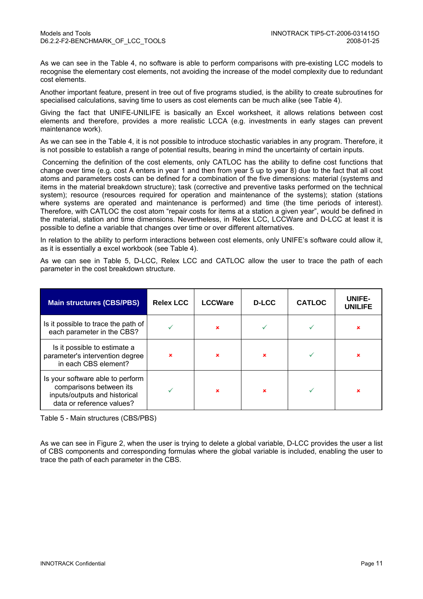As we can see in the Table 4, no software is able to perform comparisons with pre-existing LCC models to recognise the elementary cost elements, not avoiding the increase of the model complexity due to redundant cost elements.

Another important feature, present in tree out of five programs studied, is the ability to create subroutines for specialised calculations, saving time to users as cost elements can be much alike (see Table 4).

Giving the fact that UNIFE-UNILIFE is basically an Excel worksheet, it allows relations between cost elements and therefore, provides a more realistic LCCA (e.g. investments in early stages can prevent maintenance work).

As we can see in the Table 4, it is not possible to introduce stochastic variables in any program. Therefore, it is not possible to establish a range of potential results, bearing in mind the uncertainty of certain inputs.

 Concerning the definition of the cost elements, only CATLOC has the ability to define cost functions that change over time (e.g. cost A enters in year 1 and then from year 5 up to year 8) due to the fact that all cost atoms and parameters costs can be defined for a combination of the five dimensions: material (systems and items in the material breakdown structure); task (corrective and preventive tasks performed on the technical system); resource (resources required for operation and maintenance of the systems); station (stations where systems are operated and maintenance is performed) and time (the time periods of interest). Therefore, with CATLOC the cost atom "repair costs for items at a station a given year", would be defined in the material, station and time dimensions. Nevertheless, in Relex LCC, LCCWare and D-LCC at least it is possible to define a variable that changes over time or over different alternatives.

In relation to the ability to perform interactions between cost elements, only UNIFE's software could allow it, as it is essentially a excel workbook (see Table 4).

As we can see in Table 5, D-LCC, Relex LCC and CATLOC allow the user to trace the path of each parameter in the cost breakdown structure.

| <b>Main structures (CBS/PBS)</b>                                                                                          | <b>Relex LCC</b>          | <b>LCCWare</b> | <b>D-LCC</b> | <b>CATLOC</b> | UNIFE-<br><b>UNILIFE</b> |
|---------------------------------------------------------------------------------------------------------------------------|---------------------------|----------------|--------------|---------------|--------------------------|
| Is it possible to trace the path of<br>each parameter in the CBS?                                                         |                           | $\mathbf x$    |              |               | ×                        |
| Is it possible to estimate a<br>parameter's intervention degree<br>in each CBS element?                                   | $\boldsymbol{\mathsf{x}}$ | $\mathbf x$    |              |               | ×                        |
| Is your software able to perform<br>comparisons between its<br>inputs/outputs and historical<br>data or reference values? |                           | $\mathbf x$    | ×            |               | ×                        |

Table 5 - Main structures (CBS/PBS)

As we can see in Figure 2, when the user is trying to delete a global variable, D-LCC provides the user a list of CBS components and corresponding formulas where the global variable is included, enabling the user to trace the path of each parameter in the CBS.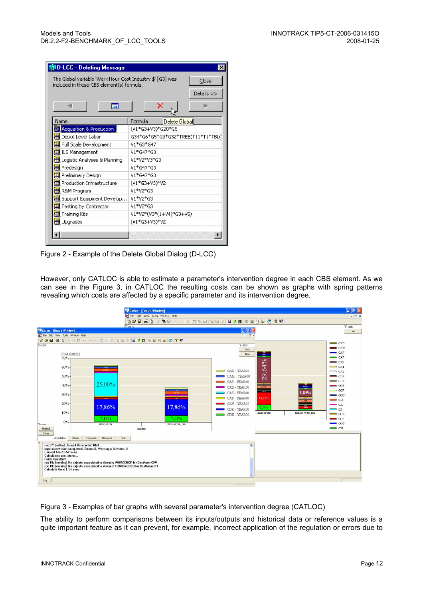| The Global variable 'Work Hour Cost Industry \$' [G3] was<br>included in those CBS element(s) formula. | Close<br>Details >>               |  |  |  |  |
|--------------------------------------------------------------------------------------------------------|-----------------------------------|--|--|--|--|
| ⊞                                                                                                      | ×                                 |  |  |  |  |
| Name                                                                                                   | Formula<br>Delete Global          |  |  |  |  |
| <b>SS Acquisition &amp; Production</b>                                                                 | (V1*G3+V3)*G20*G5                 |  |  |  |  |
| Depot Level Labor                                                                                      | G34*G6*G5*G3*G32*TREE(T11*T1*TBL( |  |  |  |  |
| Full Scale Development                                                                                 | V1*G3*G47                         |  |  |  |  |
| ILS Management                                                                                         | V1*G47*G3                         |  |  |  |  |
| Logistic Analyses & Planning                                                                           | V1*V2*V3*G3                       |  |  |  |  |
| Predesign                                                                                              | V1*G47*G3                         |  |  |  |  |
| Preliminary Design                                                                                     | V1*G47*G3                         |  |  |  |  |
| Production Infrastructure                                                                              | (V1*G3+V3)*V2                     |  |  |  |  |
| R&M Program                                                                                            | V1*V2*G3                          |  |  |  |  |
| Support Equipment Develop                                                                              | V1*V2*G3                          |  |  |  |  |
| Testing by Contractor                                                                                  | V1*V2*G3                          |  |  |  |  |
| Training Kits                                                                                          | V1*V2*(V3*(1+V4)*G3+V5)           |  |  |  |  |
| Upgrades                                                                                               | (V1*G3+V3)*V2                     |  |  |  |  |

Figure 2 - Example of the Delete Global Dialog (D-LCC)

However, only CATLOC is able to estimate a parameter's intervention degree in each CBS element. As we can see in the Figure 3, in CATLOC the resulting costs can be shown as graphs with spring patterns revealing which costs are affected by a specific parameter and its intervention degree.



Figure 3 - Examples of bar graphs with several parameter's intervention degree (CATLOC)

The ability to perform comparisons between its inputs/outputs and historical data or reference values is a quite important feature as it can prevent, for example, incorrect application of the regulation or errors due to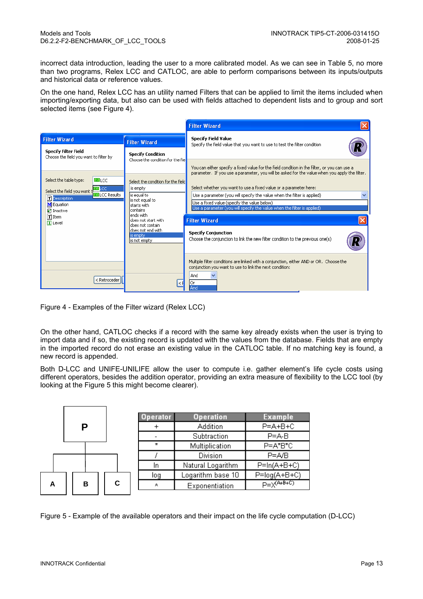incorrect data introduction, leading the user to a more calibrated model. As we can see in Table 5, no more than two programs, Relex LCC and CATLOC, are able to perform comparisons between its inputs/outputs and historical data or reference values.

On the one hand, Relex LCC has an utility named Filters that can be applied to limit the items included when importing/exporting data, but also can be used with fields attached to dependent lists and to group and sort selected items (see Figure 4).

|                                                                                                                                                                                                                                                 |                                                                                                                        | <b>Filter Wizard</b>                                                                                                                                                                              |
|-------------------------------------------------------------------------------------------------------------------------------------------------------------------------------------------------------------------------------------------------|------------------------------------------------------------------------------------------------------------------------|---------------------------------------------------------------------------------------------------------------------------------------------------------------------------------------------------|
| <b>Filter Wizard</b>                                                                                                                                                                                                                            | <b>Filter Wizard</b>                                                                                                   | <b>Specify Field Value</b><br>Specify the field value that you want to use to test the filter condition                                                                                           |
| <b>Specify Filter Field</b><br>Choose the field you want to filter by                                                                                                                                                                           | <b>Specify Condition</b><br>Choose the condition for the fiel                                                          |                                                                                                                                                                                                   |
|                                                                                                                                                                                                                                                 |                                                                                                                        | You can either specify a fixed value for the field condition in the filter, or you can use a<br>parameter. If you use a parameter, you will be asked for the value when you apply the filter.     |
| <b>BLCC</b><br>Select the table type:                                                                                                                                                                                                           | Select the condition for the field<br>is empty                                                                         | Select whether you want to use a fixed value or a parameter here:                                                                                                                                 |
| Select the field you want the LCC<br><b>OLCC Results</b><br><b>T</b> Description<br>M Equation<br><b>Ø</b> Inactive                                                                                                                             | lis egual to<br>is not equal to<br>starts with<br>contains<br>lends with<br>ldoes not start with<br>Idoes not contain. | Use a parameter (you will specify the value when the filter is applied)<br>Use a fixed value (specify the value below)<br>Use a parameter (you will specify the value when the filter is applied) |
| T Item<br>$\boxed{\mathbf{1}}$ Level                                                                                                                                                                                                            |                                                                                                                        | <b>Filter Wizard</b>                                                                                                                                                                              |
|                                                                                                                                                                                                                                                 | does not end with<br>is empty.<br>lis not empty                                                                        | <b>Specify Conjunction</b><br>Choose the conjunction to link the new filter condition to the previous one(s)                                                                                      |
| <retroceder< td=""><td><math>\leq</math>F</td><td>Multiple filter conditions are linked with a conjunction, either AND or OR. Choose the<br/>conjunction you want to use to link the next condition:<br/>And<br/>lor<br/>And</td></retroceder<> | $\leq$ F                                                                                                               | Multiple filter conditions are linked with a conjunction, either AND or OR. Choose the<br>conjunction you want to use to link the next condition:<br>And<br>lor<br>And                            |

Figure 4 - Examples of the Filter wizard (Relex LCC)

On the other hand, CATLOC checks if a record with the same key already exists when the user is trying to import data and if so, the existing record is updated with the values from the database. Fields that are empty in the imported record do not erase an existing value in the CATLOC table. If no matching key is found, a new record is appended.

Both D-LCC and UNIFE-UNILIFE allow the user to compute i.e. gather element's life cycle costs using different operators, besides the addition operator, providing an extra measure of flexibility to the LCC tool (by looking at the Figure 5 this might become clearer).

|   |  |   |   | Operator | <b>Operation</b>  | <b>Example</b>  |
|---|--|---|---|----------|-------------------|-----------------|
| Р |  |   |   | Addition | $P = A + B + C$   |                 |
|   |  |   |   |          | Subtraction       | $P = A - B$     |
|   |  |   |   | $\star$  | Multiplication    | P=A*B*C         |
|   |  |   |   |          | Division          | $P = A/B$       |
|   |  |   |   | In       | Natural Logarithm | $P=ln(A+B+C)$   |
|   |  |   |   | log      | Logarithm base 10 | P=log(A+B+C)    |
| А |  | в | C | л        | Exponentiation    | $P=X^{(A+B+C)}$ |
|   |  |   |   |          |                   |                 |

Figure 5 - Example of the available operators and their impact on the life cycle computation (D-LCC)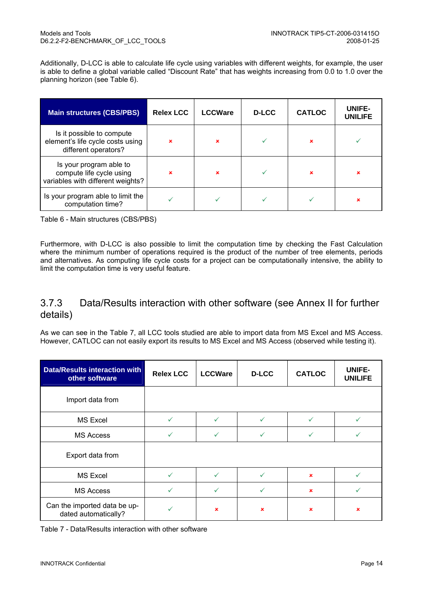Additionally, D-LCC is able to calculate life cycle using variables with different weights, for example, the user is able to define a global variable called "Discount Rate" that has weights increasing from 0.0 to 1.0 over the planning horizon (see Table 6).

| <b>Main structures (CBS/PBS)</b>                                                         | <b>Relex LCC</b> | <b>LCCWare</b> | <b>D-LCC</b> | <b>CATLOC</b> | UNIFE-<br><b>UNILIFE</b> |
|------------------------------------------------------------------------------------------|------------------|----------------|--------------|---------------|--------------------------|
| Is it possible to compute<br>element's life cycle costs using<br>different operators?    | $\mathbf x$      | $\mathbf x$    |              | ×             |                          |
| Is your program able to<br>compute life cycle using<br>variables with different weights? | $\mathbf x$      | $\mathbf x$    |              | $\mathbf x$   | ×                        |
| Is your program able to limit the<br>computation time?                                   | ✓                |                |              |               | ×                        |

Table 6 - Main structures (CBS/PBS)

Furthermore, with D-LCC is also possible to limit the computation time by checking the Fast Calculation where the minimum number of operations required is the product of the number of tree elements, periods and alternatives. As computing life cycle costs for a project can be computationally intensive, the ability to limit the computation time is very useful feature.

#### 3.7.3 Data/Results interaction with other software (see Annex II for further details)

As we can see in the Table 7, all LCC tools studied are able to import data from MS Excel and MS Access. However, CATLOC can not easily export its results to MS Excel and MS Access (observed while testing it).

| <b>Data/Results interaction with</b><br>other software | <b>Relex LCC</b> | <b>LCCWare</b>            | <b>D-LCC</b> | <b>CATLOC</b> | UNIFE-<br><b>UNILIFE</b> |
|--------------------------------------------------------|------------------|---------------------------|--------------|---------------|--------------------------|
| Import data from                                       |                  |                           |              |               |                          |
| <b>MS Excel</b>                                        |                  |                           |              |               |                          |
| <b>MS Access</b>                                       | ✓                |                           |              |               |                          |
| Export data from                                       |                  |                           |              |               |                          |
| <b>MS Excel</b>                                        |                  |                           |              | $\mathbf x$   |                          |
| <b>MS Access</b>                                       | v                |                           |              | ×             |                          |
| Can the imported data be up-<br>dated automatically?   |                  | $\boldsymbol{\mathsf{x}}$ | $\mathbf x$  | ×             | ×                        |

Table 7 - Data/Results interaction with other software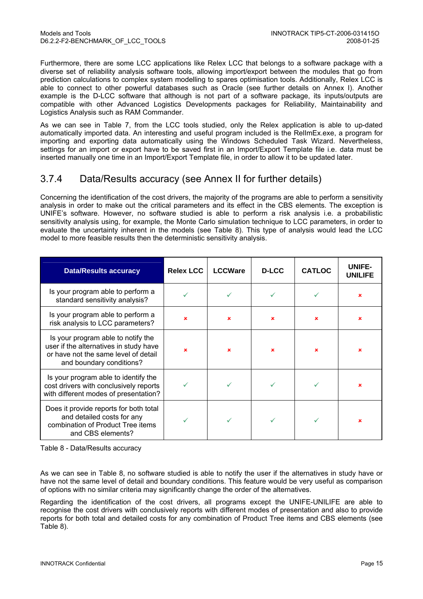Furthermore, there are some LCC applications like Relex LCC that belongs to a software package with a diverse set of reliability analysis software tools, allowing import/export between the modules that go from prediction calculations to complex system modelling to spares optimisation tools. Additionally, Relex LCC is able to connect to other powerful databases such as Oracle (see further details on Annex I). Another example is the D-LCC software that although is not part of a software package, its inputs/outputs are compatible with other Advanced Logistics Developments packages for Reliability, Maintainability and Logistics Analysis such as RAM Commander.

As we can see in Table 7, from the LCC tools studied, only the Relex application is able to up-dated automatically imported data. An interesting and useful program included is the RelImEx.exe, a program for importing and exporting data automatically using the Windows Scheduled Task Wizard. Nevertheless, settings for an import or export have to be saved first in an Import/Export Template file i.e. data must be inserted manually one time in an Import/Export Template file, in order to allow it to be updated later.

#### 3.7.4 Data/Results accuracy (see Annex II for further details)

Concerning the identification of the cost drivers, the majority of the programs are able to perform a sensitivity analysis in order to make out the critical parameters and its effect in the CBS elements. The exception is UNIFE's software. However, no software studied is able to perform a risk analysis i.e. a probabilistic sensitivity analysis using, for example, the Monte Carlo simulation technique to LCC parameters, in order to evaluate the uncertainty inherent in the models (see Table 8). This type of analysis would lead the LCC model to more feasible results then the deterministic sensitivity analysis.

| <b>Data/Results accuracy</b>                                                                                                                     | <b>Relex LCC</b> | <b>LCCWare</b> | <b>D-LCC</b> | <b>CATLOC</b>             | UNIFE-<br><b>UNILIFE</b> |
|--------------------------------------------------------------------------------------------------------------------------------------------------|------------------|----------------|--------------|---------------------------|--------------------------|
| Is your program able to perform a<br>standard sensitivity analysis?                                                                              |                  |                |              |                           | $\mathbf x$              |
| Is your program able to perform a<br>risk analysis to LCC parameters?                                                                            | $\mathbf x$      | $\mathbf x$    | $\mathbf x$  | $\boldsymbol{\mathsf{x}}$ | $\mathbf x$              |
| Is your program able to notify the<br>user if the alternatives in study have<br>or have not the same level of detail<br>and boundary conditions? | ×                | $\mathbf x$    | $\mathbf x$  | $\mathbf x$               | ×                        |
| Is your program able to identify the<br>cost drivers with conclusively reports<br>with different modes of presentation?                          |                  |                |              |                           | ×                        |
| Does it provide reports for both total<br>and detailed costs for any<br>combination of Product Tree items<br>and CBS elements?                   |                  |                |              |                           |                          |

Table 8 - Data/Results accuracy

As we can see in Table 8, no software studied is able to notify the user if the alternatives in study have or have not the same level of detail and boundary conditions. This feature would be very useful as comparison of options with no similar criteria may significantly change the order of the alternatives.

Regarding the identification of the cost drivers, all programs except the UNIFE-UNILIFE are able to recognise the cost drivers with conclusively reports with different modes of presentation and also to provide reports for both total and detailed costs for any combination of Product Tree items and CBS elements (see Table 8).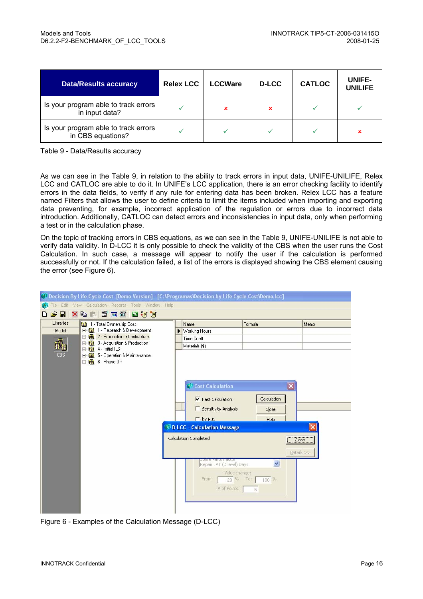| <b>Data/Results accuracy</b>                              | <b>Relex LCC</b> | <b>LCCWare</b> | <b>D-LCC</b> | <b>CATLOC</b> | UNIFE-<br><b>UNILIFE</b> |
|-----------------------------------------------------------|------------------|----------------|--------------|---------------|--------------------------|
| Is your program able to track errors<br>in input data?    |                  |                | ×            |               |                          |
| Is your program able to track errors<br>in CBS equations? |                  |                |              |               |                          |

Table 9 - Data/Results accuracy

As we can see in the Table 9, in relation to the ability to track errors in input data, UNIFE-UNILIFE, Relex LCC and CATLOC are able to do it. In UNIFE's LCC application, there is an error checking facility to identify errors in the data fields, to verify if any rule for entering data has been broken. Relex LCC has a feature named Filters that allows the user to define criteria to limit the items included when importing and exporting data preventing, for example, incorrect application of the regulation or errors due to incorrect data introduction. Additionally, CATLOC can detect errors and inconsistencies in input data, only when performing a test or in the calculation phase.

On the topic of tracking errors in CBS equations, as we can see in the Table 9, UNIFE-UNILIFE is not able to verify data validity. In D-LCC it is only possible to check the validity of the CBS when the user runs the Cost Calculation. In such case, a message will appear to notify the user if the calculation is performed successfully or not. If the calculation failed, a list of the errors is displayed showing the CBS element causing the error (see Figure 6).

|                    | Decision By Life Cycle Cost [Demo Version] - [C:\Programas\Decision by Life Cycle Cost\Demo.lcc] |                                                            |                              |            |  |  |  |
|--------------------|--------------------------------------------------------------------------------------------------|------------------------------------------------------------|------------------------------|------------|--|--|--|
|                    | File Edit View Calculation Reports Tools Window Help                                             |                                                            |                              |            |  |  |  |
| ೧೪<br>Ч            | ×电尾 香田64 国酒店                                                                                     |                                                            |                              |            |  |  |  |
| Libraries<br>Model | 1 - Total Ownership Cost<br>由 1 - Research & Development                                         | Name                                                       | Formula                      | Memo       |  |  |  |
|                    | 2 - Production Infrastructure<br>₩<br>F                                                          | Working Hours<br><b>Time Coeff</b>                         |                              |            |  |  |  |
|                    | 3 - Acquisition & Production<br>曲<br>車                                                           | Materials (\$)                                             |                              |            |  |  |  |
| CBS                | 日田<br>4 - Initial ILS                                                                            |                                                            |                              |            |  |  |  |
|                    | 5 - Operation & Maintenance<br>由<br>曲<br>E 6 - Phase Off                                         |                                                            |                              |            |  |  |  |
|                    |                                                                                                  |                                                            |                              |            |  |  |  |
|                    |                                                                                                  |                                                            |                              |            |  |  |  |
|                    |                                                                                                  | Cost Calculation                                           | $\vert\mathsf{x}\vert$       |            |  |  |  |
|                    |                                                                                                  |                                                            |                              |            |  |  |  |
|                    |                                                                                                  | $\nabla$ Fast Calculation                                  | Calculation                  |            |  |  |  |
|                    |                                                                                                  | Sensitivity Analysis                                       | Close                        |            |  |  |  |
|                    |                                                                                                  | $\Gamma$ by PBS                                            | Help                         |            |  |  |  |
|                    |                                                                                                  | <b><sup><sup>3</sup> D-LCC - Calculation Message</sup></b> |                              |            |  |  |  |
|                    |                                                                                                  | Calculation Completed<br>Close                             |                              |            |  |  |  |
|                    |                                                                                                  |                                                            |                              |            |  |  |  |
|                    |                                                                                                  |                                                            |                              | Details >> |  |  |  |
|                    |                                                                                                  | opare Parts Pattor<br>Repair TAT (D level) Days            | $\checkmark$                 |            |  |  |  |
|                    |                                                                                                  | Value change:                                              |                              |            |  |  |  |
|                    |                                                                                                  | Fram:                                                      | 20 % To:<br>$100\frac{9}{6}$ |            |  |  |  |
|                    |                                                                                                  | # of Points:                                               | 5                            |            |  |  |  |
|                    |                                                                                                  |                                                            |                              |            |  |  |  |
|                    |                                                                                                  |                                                            |                              |            |  |  |  |
|                    |                                                                                                  |                                                            |                              |            |  |  |  |

Figure 6 - Examples of the Calculation Message (D-LCC)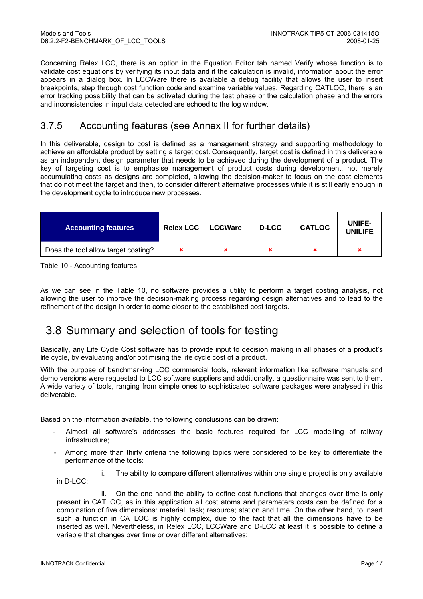Concerning Relex LCC, there is an option in the Equation Editor tab named Verify whose function is to validate cost equations by verifying its input data and if the calculation is invalid, information about the error appears in a dialog box. In LCCWare there is available a debug facility that allows the user to insert breakpoints, step through cost function code and examine variable values. Regarding CATLOC, there is an error tracking possibility that can be activated during the test phase or the calculation phase and the errors and inconsistencies in input data detected are echoed to the log window.

#### 3.7.5 Accounting features (see Annex II for further details)

In this deliverable, design to cost is defined as a management strategy and supporting methodology to achieve an affordable product by setting a target cost. Consequently, target cost is defined in this deliverable as an independent design parameter that needs to be achieved during the development of a product. The key of targeting cost is to emphasise management of product costs during development, not merely accumulating costs as designs are completed, allowing the decision-maker to focus on the cost elements that do not meet the target and then, to consider different alternative processes while it is still early enough in the development cycle to introduce new processes.

| <b>Accounting features</b>          | <b>Relex LCC</b> | <b>LCCWare</b> | <b>D-LCC</b> | <b>CATLOC</b> | UNIFE-<br><b>UNILIFE</b> |
|-------------------------------------|------------------|----------------|--------------|---------------|--------------------------|
| Does the tool allow target costing? |                  |                | ×            | ×             | ×                        |

Table 10 - Accounting features

As we can see in the Table 10, no software provides a utility to perform a target costing analysis, not allowing the user to improve the decision-making process regarding design alternatives and to lead to the refinement of the design in order to come closer to the established cost targets.

## 3.8 Summary and selection of tools for testing

Basically, any Life Cycle Cost software has to provide input to decision making in all phases of a product's life cycle, by evaluating and/or optimising the life cycle cost of a product.

With the purpose of benchmarking LCC commercial tools, relevant information like software manuals and demo versions were requested to LCC software suppliers and additionally, a questionnaire was sent to them. A wide variety of tools, ranging from simple ones to sophisticated software packages were analysed in this deliverable.

Based on the information available, the following conclusions can be drawn:

- Almost all software's addresses the basic features required for LCC modelling of railway infrastructure;
- Among more than thirty criteria the following topics were considered to be key to differentiate the performance of the tools:

i. The ability to compare different alternatives within one single project is only available in D-LCC;

ii. On the one hand the ability to define cost functions that changes over time is only present in CATLOC, as in this application all cost atoms and parameters costs can be defined for a combination of five dimensions: material; task; resource; station and time. On the other hand, to insert such a function in CATLOC is highly complex, due to the fact that all the dimensions have to be inserted as well. Nevertheless, in Relex LCC, LCCWare and D-LCC at least it is possible to define a variable that changes over time or over different alternatives;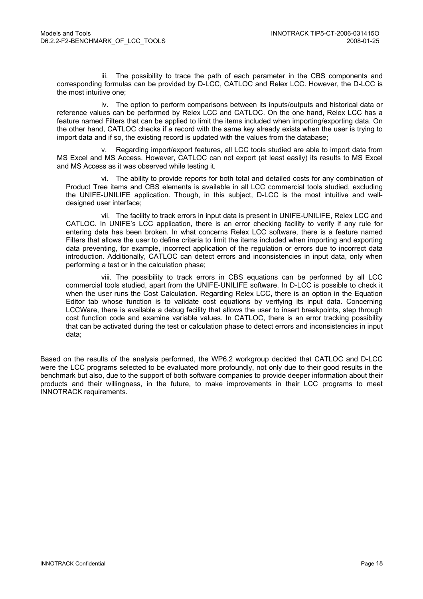iii. The possibility to trace the path of each parameter in the CBS components and corresponding formulas can be provided by D-LCC, CATLOC and Relex LCC. However, the D-LCC is the most intuitive one;

iv. The option to perform comparisons between its inputs/outputs and historical data or reference values can be performed by Relex LCC and CATLOC. On the one hand, Relex LCC has a feature named Filters that can be applied to limit the items included when importing/exporting data. On the other hand, CATLOC checks if a record with the same key already exists when the user is trying to import data and if so, the existing record is updated with the values from the database;

v. Regarding import/export features, all LCC tools studied are able to import data from MS Excel and MS Access. However, CATLOC can not export (at least easily) its results to MS Excel and MS Access as it was observed while testing it.

vi. The ability to provide reports for both total and detailed costs for any combination of Product Tree items and CBS elements is available in all LCC commercial tools studied, excluding the UNIFE-UNILIFE application. Though, in this subject, D-LCC is the most intuitive and welldesigned user interface;

vii. The facility to track errors in input data is present in UNIFE-UNILIFE, Relex LCC and CATLOC. In UNIFE's LCC application, there is an error checking facility to verify if any rule for entering data has been broken. In what concerns Relex LCC software, there is a feature named Filters that allows the user to define criteria to limit the items included when importing and exporting data preventing, for example, incorrect application of the regulation or errors due to incorrect data introduction. Additionally, CATLOC can detect errors and inconsistencies in input data, only when performing a test or in the calculation phase;

viii. The possibility to track errors in CBS equations can be performed by all LCC commercial tools studied, apart from the UNIFE-UNILIFE software. In D-LCC is possible to check it when the user runs the Cost Calculation. Regarding Relex LCC, there is an option in the Equation Editor tab whose function is to validate cost equations by verifying its input data. Concerning LCCWare, there is available a debug facility that allows the user to insert breakpoints, step through cost function code and examine variable values. In CATLOC, there is an error tracking possibility that can be activated during the test or calculation phase to detect errors and inconsistencies in input data;

Based on the results of the analysis performed, the WP6.2 workgroup decided that CATLOC and D-LCC were the LCC programs selected to be evaluated more profoundly, not only due to their good results in the benchmark but also, due to the support of both software companies to provide deeper information about their products and their willingness, in the future, to make improvements in their LCC programs to meet INNOTRACK requirements.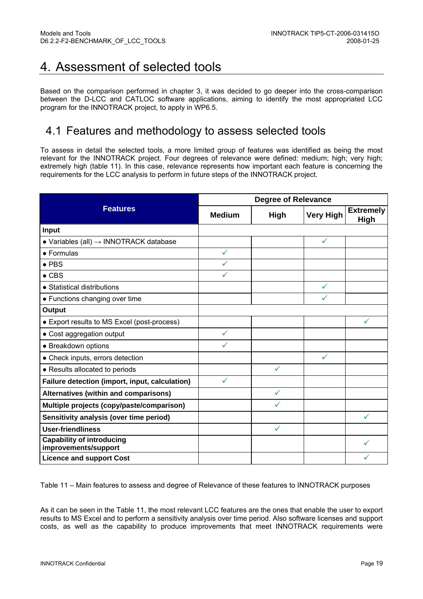## 4. Assessment of selected tools

Based on the comparison performed in chapter 3, it was decided to go deeper into the cross-comparison between the D-LCC and CATLOC software applications, aiming to identify the most appropriated LCC program for the INNOTRACK project, to apply in WP6.5.

## 4.1 Features and methodology to assess selected tools

To assess in detail the selected tools, a more limited group of features was identified as being the most relevant for the INNOTRACK project. Four degrees of relevance were defined: medium; high; very high; extremely high (table 11). In this case, relevance represents how important each feature is concerning the requirements for the LCC analysis to perform in future steps of the INNOTRACK project.

|                                                            |               | <b>Degree of Relevance</b> |                  |                                 |
|------------------------------------------------------------|---------------|----------------------------|------------------|---------------------------------|
| <b>Features</b>                                            | <b>Medium</b> | <b>High</b>                | <b>Very High</b> | <b>Extremely</b><br><b>High</b> |
| Input                                                      |               |                            |                  |                                 |
| $\bullet$ Variables (all) $\rightarrow$ INNOTRACK database |               |                            | ✓                |                                 |
| $\bullet$ Formulas                                         | $\checkmark$  |                            |                  |                                 |
| $\bullet$ PBS                                              |               |                            |                  |                                 |
| $\bullet$ CBS                                              | ✓             |                            |                  |                                 |
| • Statistical distributions                                |               |                            | ✓                |                                 |
| • Functions changing over time                             |               |                            |                  |                                 |
| Output                                                     |               |                            |                  |                                 |
| • Export results to MS Excel (post-process)                |               |                            |                  |                                 |
| • Cost aggregation output                                  | $\checkmark$  |                            |                  |                                 |
| • Breakdown options                                        | $\checkmark$  |                            |                  |                                 |
| • Check inputs, errors detection                           |               |                            | $\checkmark$     |                                 |
| • Results allocated to periods                             |               | ✓                          |                  |                                 |
| Failure detection (import, input, calculation)             | $\checkmark$  |                            |                  |                                 |
| Alternatives (within and comparisons)                      |               | ✓                          |                  |                                 |
| Multiple projects (copy/paste/comparison)                  |               |                            |                  |                                 |
| Sensitivity analysis (over time period)                    |               |                            |                  | $\checkmark$                    |
| <b>User-friendliness</b>                                   |               | $\checkmark$               |                  |                                 |
| <b>Capability of introducing</b><br>improvements/support   |               |                            |                  |                                 |
| <b>Licence and support Cost</b>                            |               |                            |                  |                                 |

Table 11 – Main features to assess and degree of Relevance of these features to INNOTRACK purposes

As it can be seen in the Table 11, the most relevant LCC features are the ones that enable the user to export results to MS Excel and to perform a sensitivity analysis over time period. Also software licenses and support costs, as well as the capability to produce improvements that meet INNOTRACK requirements were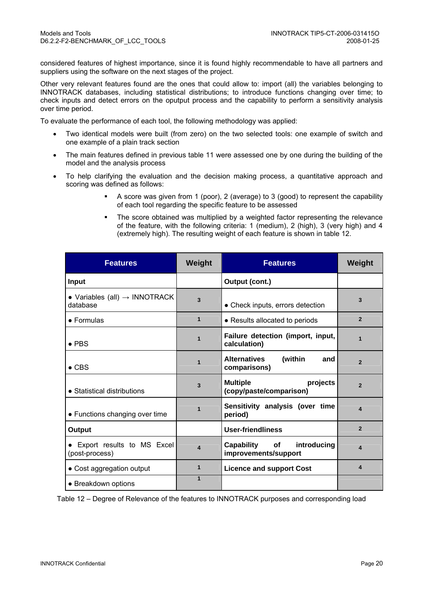considered features of highest importance, since it is found highly recommendable to have all partners and suppliers using the software on the next stages of the project.

Other very relevant features found are the ones that could allow to: import (all) the variables belonging to INNOTRACK databases, including statistical distributions; to introduce functions changing over time; to check inputs and detect errors on the oputput process and the capability to perform a sensitivity analysis over time period.

To evaluate the performance of each tool, the following methodology was applied:

- Two identical models were built (from zero) on the two selected tools: one example of switch and one example of a plain track section
- The main features defined in previous table 11 were assessed one by one during the building of the model and the analysis process
- To help clarifying the evaluation and the decision making process, a quantitative approach and scoring was defined as follows:
	- A score was given from 1 (poor), 2 (average) to 3 (good) to represent the capability of each tool regarding the specific feature to be assessed
	- The score obtained was multiplied by a weighted factor representing the relevance of the feature, with the following criteria: 1 (medium), 2 (high), 3 (very high) and 4 (extremely high). The resulting weight of each feature is shown in table 12.

| <b>Features</b>                                       | Weight                 | <b>Features</b>                                        | Weight                  |
|-------------------------------------------------------|------------------------|--------------------------------------------------------|-------------------------|
| <b>Input</b>                                          |                        | Output (cont.)                                         |                         |
| • Variables (all) $\rightarrow$ INNOTRACK<br>database | 3                      | • Check inputs, errors detection                       | $\overline{\mathbf{3}}$ |
| $\bullet$ Formulas                                    | $\mathbf{1}$           | • Results allocated to periods                         | $\overline{2}$          |
| $\bullet$ PBS                                         | $\overline{1}$         | Failure detection (import, input,<br>calculation)      | $\overline{1}$          |
| $\bullet$ CBS                                         | 1                      | <b>Alternatives</b><br>(within<br>and<br>comparisons)  | $\overline{2}$          |
| • Statistical distributions                           | 3                      | <b>Multiple</b><br>projects<br>(copy/paste/comparison) | $\overline{2}$          |
| • Functions changing over time                        | 1                      | Sensitivity analysis (over time<br>period)             | $\boldsymbol{\Delta}$   |
| Output                                                |                        | <b>User-friendliness</b>                               | $\overline{2}$          |
| • Export results to MS Excel<br>(post-process)        | $\boldsymbol{\Lambda}$ | introducing<br>Capability of<br>improvements/support   | 4                       |
| • Cost aggregation output                             | 1                      | <b>Licence and support Cost</b>                        | 4                       |
| • Breakdown options                                   | $\overline{1}$         |                                                        |                         |

Table 12 – Degree of Relevance of the features to INNOTRACK purposes and corresponding load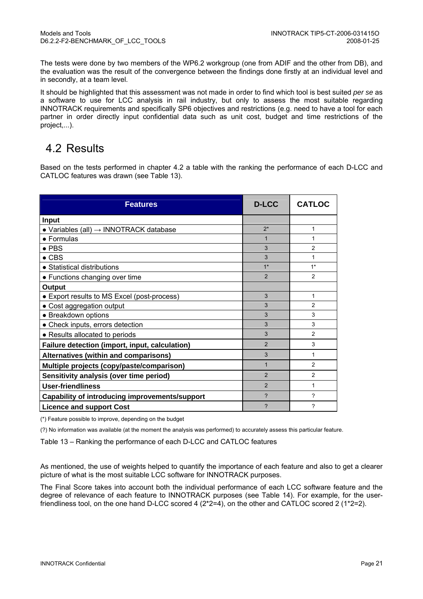The tests were done by two members of the WP6.2 workgroup (one from ADIF and the other from DB), and the evaluation was the result of the convergence between the findings done firstly at an individual level and in secondly, at a team level.

It should be highlighted that this assessment was not made in order to find which tool is best suited *per se* as a software to use for LCC analysis in rail industry, but only to assess the most suitable regarding INNOTRACK requirements and specifically SP6 objectives and restrictions (e.g. need to have a tool for each partner in order directly input confidential data such as unit cost, budget and time restrictions of the project,...).

## 4.2 Results

Based on the tests performed in chapter 4.2 a table with the ranking the performance of each D-LCC and CATLOC features was drawn (see Table 13).

| <b>Features</b>                                            | <b>D-LCC</b>   | <b>CATLOC</b>  |
|------------------------------------------------------------|----------------|----------------|
| Input                                                      |                |                |
| $\bullet$ Variables (all) $\rightarrow$ INNOTRACK database | $2*$           | 1              |
| • Formulas                                                 |                | 1              |
| $\bullet$ PBS                                              | 3              | 2              |
| $\bullet$ CBS                                              | 3              | 1              |
| • Statistical distributions                                | $1*$           | $1*$           |
| • Functions changing over time                             | $\mathcal{P}$  | $\mathfrak{p}$ |
| Output                                                     |                |                |
| • Export results to MS Excel (post-process)                | 3              | 1              |
| • Cost aggregation output                                  | 3              | $\mathfrak{p}$ |
| • Breakdown options                                        | 3              | 3              |
| • Check inputs, errors detection                           | 3              | 3              |
| • Results allocated to periods                             | 3              | $\mathcal{P}$  |
| Failure detection (import, input, calculation)             | $\overline{2}$ | 3              |
| Alternatives (within and comparisons)                      | 3              | 1              |
| Multiple projects (copy/paste/comparison)                  | $\overline{1}$ | $\overline{2}$ |
| Sensitivity analysis (over time period)                    | $\mathcal{P}$  | $\mathfrak{p}$ |
| <b>User-friendliness</b>                                   | $\overline{2}$ | 1              |
| Capability of introducing improvements/support             | ?              | ?              |
| <b>Licence and support Cost</b>                            | ?              | ?              |

(\*) Feature possible to improve, depending on the budget

(?) No information was available (at the moment the analysis was performed) to accurately assess this particular feature.

Table 13 – Ranking the performance of each D-LCC and CATLOC features

As mentioned, the use of weights helped to quantify the importance of each feature and also to get a clearer picture of what is the most suitable LCC software for INNOTRACK purposes.

The Final Score takes into account both the individual performance of each LCC software feature and the degree of relevance of each feature to INNOTRACK purposes (see Table 14). For example, for the userfriendliness tool, on the one hand D-LCC scored 4 (2\*2=4), on the other and CATLOC scored 2 (1\*2=2).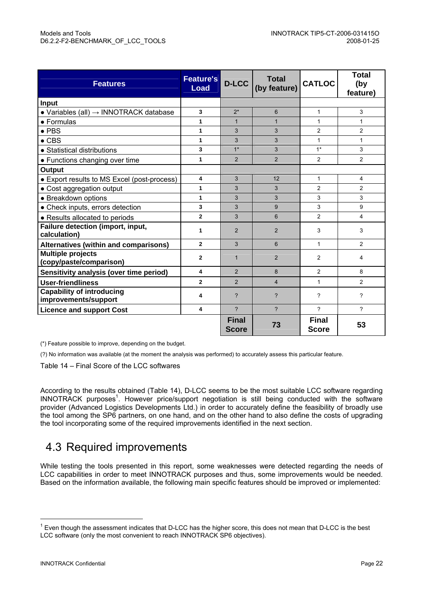| <b>Features</b>                                            | <b>Feature's</b><br>Load | <b>D-LCC</b>                 | <b>Total</b><br>(by feature) | <b>CATLOC</b>                | Total<br>(by<br>feature) |
|------------------------------------------------------------|--------------------------|------------------------------|------------------------------|------------------------------|--------------------------|
| Input                                                      |                          |                              |                              |                              |                          |
| $\bullet$ Variables (all) $\rightarrow$ INNOTRACK database | 3                        | $2*$                         | 6                            | 1                            | 3                        |
| $\bullet$ Formulas                                         | 1                        | $\mathbf{1}$                 | $\mathbf{1}$                 | 1                            | $\mathbf{1}$             |
| $\bullet$ PBS                                              | 1                        | 3                            | 3                            | $\overline{2}$               | $\overline{2}$           |
| $\bullet$ CBS                                              | $\mathbf{1}$             | 3                            | 3                            | $\mathbf{1}$                 | $\mathbf{1}$             |
| • Statistical distributions                                | 3                        | $1*$                         | 3                            | $1*$                         | 3                        |
| • Functions changing over time                             | 1                        | 2                            | $\overline{2}$               | $\overline{2}$               | $\overline{2}$           |
| Output                                                     |                          |                              |                              |                              |                          |
| • Export results to MS Excel (post-process)                | 4                        | 3                            | 12                           | 1                            | $\overline{4}$           |
| • Cost aggregation output                                  | 1                        | 3                            | 3                            | $\overline{c}$               | $\overline{2}$           |
| • Breakdown options                                        | $\mathbf{1}$             | 3                            | 3                            | 3                            | 3                        |
| • Check inputs, errors detection                           | 3                        | 3                            | 9                            | 3                            | 9                        |
| • Results allocated to periods                             | $\overline{2}$           | 3                            | 6                            | $\overline{2}$               | $\overline{\mathbf{4}}$  |
| Failure detection (import, input,<br>calculation)          | 1                        | 2                            | 2                            | 3                            | 3                        |
| <b>Alternatives (within and comparisons)</b>               | $\overline{2}$           | 3                            | 6                            | $\mathbf{1}$                 | $\overline{2}$           |
| <b>Multiple projects</b><br>(copy/paste/comparison)        | $\overline{2}$           | $\mathbf{1}$                 | 2                            | $\overline{c}$               | 4                        |
| Sensitivity analysis (over time period)                    | 4                        | 2                            | 8                            | $\overline{2}$               | 8                        |
| <b>User-friendliness</b>                                   | $\overline{2}$           | 2                            | $\overline{4}$               | 1                            | $\overline{2}$           |
| <b>Capability of introducing</b><br>improvements/support   | 4                        | ?                            | $\overline{\phantom{0}}$     | ?                            | $\gamma$                 |
| <b>Licence and support Cost</b>                            | 4                        | $\mathcal{P}$                | $\mathcal{P}$                | 2                            | $\mathcal{P}$            |
|                                                            |                          | <b>Final</b><br><b>Score</b> | 73                           | <b>Final</b><br><b>Score</b> | 53                       |

(\*) Feature possible to improve, depending on the budget.

(?) No information was available (at the moment the analysis was performed) to accurately assess this particular feature.

Table 14 – Final Score of the LCC softwares

According to the results obtained (Table 14), D-LCC seems to be the most suitable LCC software regarding INNOTRACK purposes<sup>1</sup>. However price/support negotiation is still being conducted with the software provider (Advanced Logistics Developments Ltd.) in order to accurately define the feasibility of broadly use the tool among the SP6 partners, on one hand, and on the other hand to also define the costs of upgrading the tool incorporating some of the required improvements identified in the next section.

## 4.3 Required improvements

While testing the tools presented in this report, some weaknesses were detected regarding the needs of LCC capabilities in order to meet INNOTRACK purposes and thus, some improvements would be needed. Based on the information available, the following main specific features should be improved or implemented:

l

 $1$  Even though the assessment indicates that D-LCC has the higher score, this does not mean that D-LCC is the best LCC software (only the most convenient to reach INNOTRACK SP6 objectives).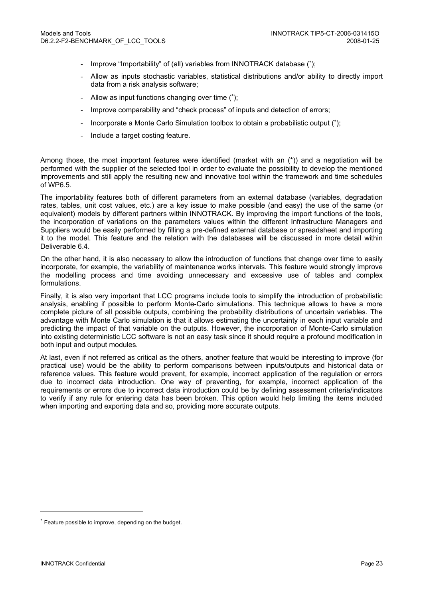- Improve "Importability" of (all) variables from INNOTRACK database (\*);
- Allow as inputs stochastic variables, statistical distributions and/or ability to directly import data from a risk analysis software;
- Allow as input functions changing over time (<sup>∗</sup> );
- Improve comparability and "check process" of inputs and detection of errors;
- Incorporate a Monte Carlo Simulation toolbox to obtain a probabilistic output (<sup>∗</sup> );
- Include a target costing feature.

Among those, the most important features were identified (market with an (\*)) and a negotiation will be performed with the supplier of the selected tool in order to evaluate the possibility to develop the mentioned improvements and still apply the resulting new and innovative tool within the framework and time schedules of WP6.5.

The importability features both of different parameters from an external database (variables, degradation rates, tables, unit cost values, etc.) are a key issue to make possible (and easy) the use of the same (or equivalent) models by different partners within INNOTRACK. By improving the import functions of the tools, the incorporation of variations on the parameters values within the different Infrastructure Managers and Suppliers would be easily performed by filling a pre-defined external database or spreadsheet and importing it to the model. This feature and the relation with the databases will be discussed in more detail within Deliverable 6.4.

On the other hand, it is also necessary to allow the introduction of functions that change over time to easily incorporate, for example, the variability of maintenance works intervals. This feature would strongly improve the modelling process and time avoiding unnecessary and excessive use of tables and complex formulations.

Finally, it is also very important that LCC programs include tools to simplify the introduction of probabilistic analysis, enabling if possible to perform Monte-Carlo simulations. This technique allows to have a more complete picture of all possible outputs, combining the probability distributions of uncertain variables. The advantage with Monte Carlo simulation is that it allows estimating the uncertainty in each input variable and predicting the impact of that variable on the outputs. However, the incorporation of Monte-Carlo simulation into existing deterministic LCC software is not an easy task since it should require a profound modification in both input and output modules.

At last, even if not referred as critical as the others, another feature that would be interesting to improve (for practical use) would be the ability to perform comparisons between inputs/outputs and historical data or reference values. This feature would prevent, for example, incorrect application of the regulation or errors due to incorrect data introduction. One way of preventing, for example, incorrect application of the requirements or errors due to incorrect data introduction could be by defining assessment criteria/indicators to verify if any rule for entering data has been broken. This option would help limiting the items included when importing and exporting data and so, providing more accurate outputs.

l

<sup>∗</sup> Feature possible to improve, depending on the budget.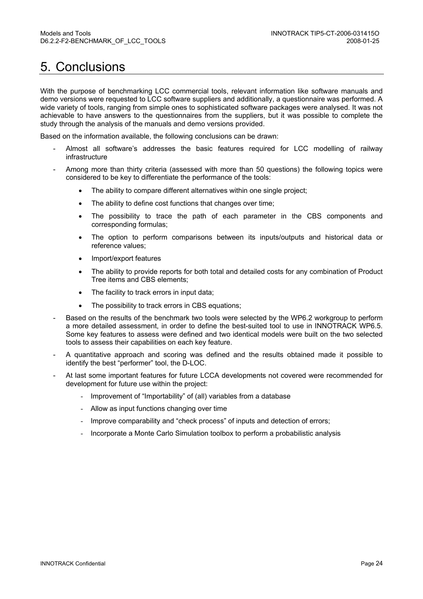# 5. Conclusions

With the purpose of benchmarking LCC commercial tools, relevant information like software manuals and demo versions were requested to LCC software suppliers and additionally, a questionnaire was performed. A wide variety of tools, ranging from simple ones to sophisticated software packages were analysed. It was not achievable to have answers to the questionnaires from the suppliers, but it was possible to complete the study through the analysis of the manuals and demo versions provided.

Based on the information available, the following conclusions can be drawn:

- Almost all software's addresses the basic features required for LCC modelling of railway infrastructure
- Among more than thirty criteria (assessed with more than 50 questions) the following topics were considered to be key to differentiate the performance of the tools:
	- The ability to compare different alternatives within one single project;
	- The ability to define cost functions that changes over time;
	- The possibility to trace the path of each parameter in the CBS components and corresponding formulas;
	- The option to perform comparisons between its inputs/outputs and historical data or reference values;
	- Import/export features
	- The ability to provide reports for both total and detailed costs for any combination of Product Tree items and CBS elements;
	- The facility to track errors in input data;
	- The possibility to track errors in CBS equations;
- Based on the results of the benchmark two tools were selected by the WP6.2 workgroup to perform a more detailed assessment, in order to define the best-suited tool to use in INNOTRACK WP6.5. Some key features to assess were defined and two identical models were built on the two selected tools to assess their capabilities on each key feature.
- A quantitative approach and scoring was defined and the results obtained made it possible to identify the best "performer" tool, the D-LOC.
- At last some important features for future LCCA developments not covered were recommended for development for future use within the project:
	- Improvement of "Importability" of (all) variables from a database
	- Allow as input functions changing over time
	- Improve comparability and "check process" of inputs and detection of errors;
	- Incorporate a Monte Carlo Simulation toolbox to perform a probabilistic analysis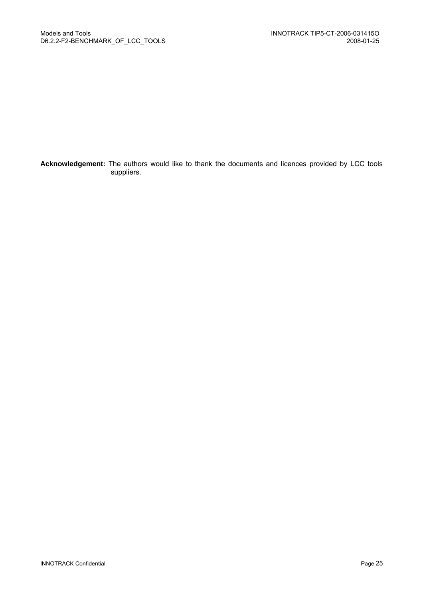**Acknowledgement:** The authors would like to thank the documents and licences provided by LCC tools suppliers.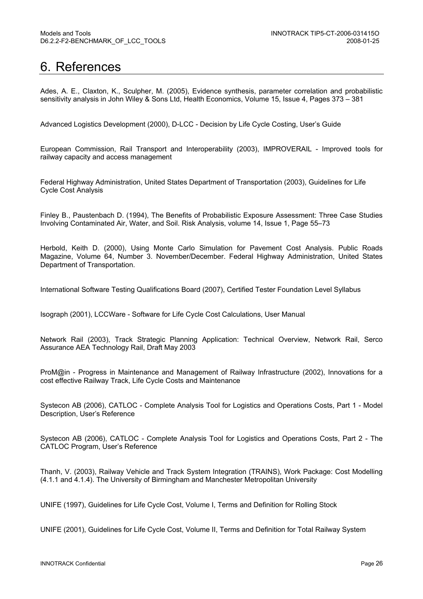## 6. References

Ades, A. E., Claxton, K., Sculpher, M. (2005), Evidence synthesis, parameter correlation and probabilistic sensitivity analysis in John Wiley & Sons Ltd, Health Economics, Volume 15, Issue 4, Pages 373 – 381

Advanced Logistics Development (2000), D-LCC - Decision by Life Cycle Costing, User's Guide

European Commission, Rail Transport and Interoperability (2003), IMPROVERAIL - Improved tools for railway capacity and access management

Federal Highway Administration, United States Department of Transportation (2003), Guidelines for Life Cycle Cost Analysis

Finley B., Paustenbach D. (1994), The Benefits of Probabilistic Exposure Assessment: Three Case Studies Involving Contaminated Air, Water, and Soil. Risk Analysis, volume 14, Issue 1, Page 55–73

Herbold, Keith D. (2000), Using Monte Carlo Simulation for Pavement Cost Analysis. Public Roads Magazine, Volume 64, Number 3. November/December. Federal Highway Administration, United States Department of Transportation.

International Software Testing Qualifications Board (2007), Certified Tester Foundation Level Syllabus

Isograph (2001), LCCWare - Software for Life Cycle Cost Calculations, User Manual

Network Rail (2003), Track Strategic Planning Application: Technical Overview, Network Rail, Serco Assurance AEA Technology Rail, Draft May 2003

ProM@in - Progress in Maintenance and Management of Railway Infrastructure (2002), Innovations for a cost effective Railway Track, Life Cycle Costs and Maintenance

Systecon AB (2006), CATLOC - Complete Analysis Tool for Logistics and Operations Costs, Part 1 - Model Description, User's Reference

Systecon AB (2006), CATLOC - Complete Analysis Tool for Logistics and Operations Costs, Part 2 - The CATLOC Program, User's Reference

Thanh, V. (2003), Railway Vehicle and Track System Integration (TRAINS), Work Package: Cost Modelling (4.1.1 and 4.1.4). The University of Birmingham and Manchester Metropolitan University

UNIFE (1997), Guidelines for Life Cycle Cost, Volume I, Terms and Definition for Rolling Stock

UNIFE (2001), Guidelines for Life Cycle Cost, Volume II, Terms and Definition for Total Railway System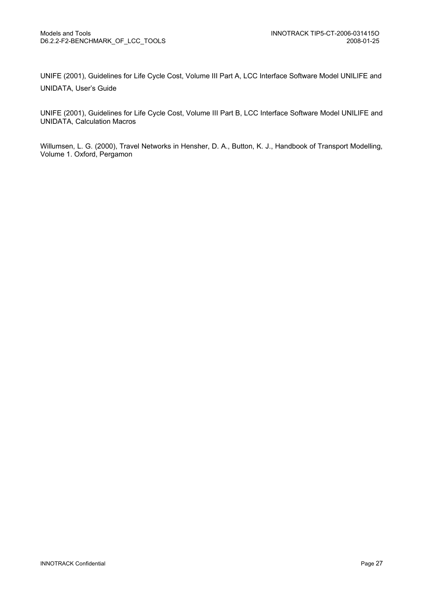UNIFE (2001), Guidelines for Life Cycle Cost, Volume III Part A, LCC Interface Software Model UNILIFE and UNIDATA, User's Guide

UNIFE (2001), Guidelines for Life Cycle Cost, Volume III Part B, LCC Interface Software Model UNILIFE and UNIDATA, Calculation Macros

Willumsen, L. G. (2000), Travel Networks in Hensher, D. A., Button, K. J., Handbook of Transport Modelling, Volume 1. Oxford, Pergamon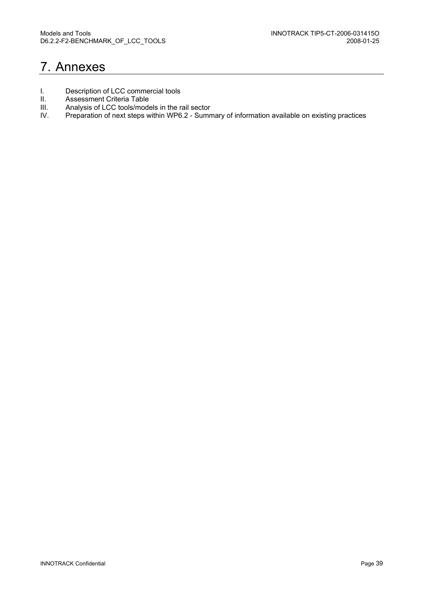## 7. Annexes

- I. Description of LCC commercial tools<br>II. Assessment Criteria Table
- II. Assessment Criteria Table<br>III. Analysis of LCC tools/mode
- III. Analysis of LCC tools/models in the rail sector<br>IV. Preparation of next steps within WP6.2 Sumn
- Preparation of next steps within WP6.2 Summary of information available on existing practices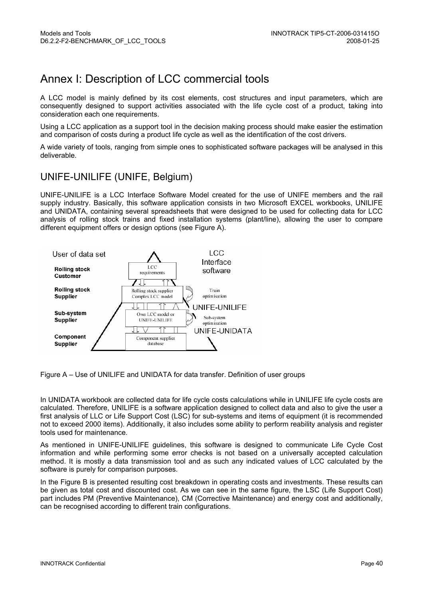## Annex I: Description of LCC commercial tools

A LCC model is mainly defined by its cost elements, cost structures and input parameters, which are consequently designed to support activities associated with the life cycle cost of a product, taking into consideration each one requirements.

Using a LCC application as a support tool in the decision making process should make easier the estimation and comparison of costs during a product life cycle as well as the identification of the cost drivers.

A wide variety of tools, ranging from simple ones to sophisticated software packages will be analysed in this deliverable.

#### UNIFE-UNILIFE (UNIFE, Belgium)

UNIFE-UNILIFE is a LCC Interface Software Model created for the use of UNIFE members and the rail supply industry. Basically, this software application consists in two Microsoft EXCEL workbooks, UNILIFE and UNIDATA, containing several spreadsheets that were designed to be used for collecting data for LCC analysis of rolling stock trains and fixed installation systems (plant/line), allowing the user to compare different equipment offers or design options (see Figure A).



Figure A – Use of UNILIFE and UNIDATA for data transfer. Definition of user groups

In UNIDATA workbook are collected data for life cycle costs calculations while in UNILIFE life cycle costs are calculated. Therefore, UNILIFE is a software application designed to collect data and also to give the user a first analysis of LLC or Life Support Cost (LSC) for sub-systems and items of equipment (it is recommended not to exceed 2000 items). Additionally, it also includes some ability to perform reability analysis and register tools used for maintenance.

As mentioned in UNIFE-UNILIFE guidelines, this software is designed to communicate Life Cycle Cost information and while performing some error checks is not based on a universally accepted calculation method. It is mostly a data transmission tool and as such any indicated values of LCC calculated by the software is purely for comparison purposes.

In the Figure B is presented resulting cost breakdown in operating costs and investments. These results can be given as total cost and discounted cost. As we can see in the same figure, the LSC (Life Support Cost) part includes PM (Preventive Maintenance), CM (Corrective Maintenance) and energy cost and additionally, can be recognised according to different train configurations.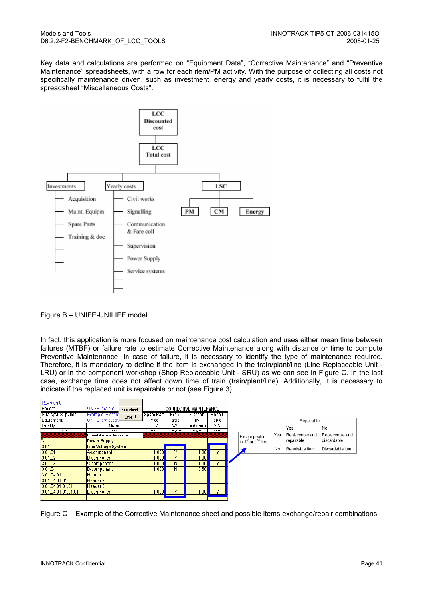Key data and calculations are performed on "Equipment Data", "Corrective Maintenance" and "Preventive Maintenance" spreadsheets, with a row for each item/PM activity. With the purpose of collecting all costs not specifically maintenance driven, such as investment, energy and yearly costs, it is necessary to fulfil the spreadsheet "Miscellaneous Costs".



Figure B – UNIFE-UNILIFE model

In fact, this application is more focused on maintenance cost calculation and uses either mean time between failures (MTBF) or failure rate to estimate Corrective Maintenance along with distance or time to compute Preventive Maintenance. In case of failure, it is necessary to identify the type of maintenance required. Therefore, it is mandatory to define if the item is exchanged in the train/plant/line (Line Replaceable Unit - LRU) or in the component workshop (Shop Replaceable Unit - SRU) as we can see in Figure C. In the last case, exchange time does not affect down time of train (train/plant/line). Additionally, it is necessary to indicate if the replaced unit is repairable or not (see Figure 3).

| Revision 0          |                                         |                   |           |                               |                   |                        |     |                 |                  |
|---------------------|-----------------------------------------|-------------------|-----------|-------------------------------|-------------------|------------------------|-----|-----------------|------------------|
| Project:            | UNIFE test proj<br><b>Errorcheck</b>    |                   |           | <b>CORRECTIVE MAINTENANCE</b> |                   |                        |     |                 |                  |
| Sub-syst. Supplier: | Example: Electric<br>Errorlist          | Spare Part        | Exch.-    | Fraction                      | Repair-           |                        |     |                 |                  |
| Equipment:          | UNIFE test syste                        | Price             | able      | bγ                            | able              |                        |     | Repairable      |                  |
| Identity            | Name                                    | DEM               | YM        | exchange                      | Y/N               |                        |     | Yes             | No               |
| IDENT               | HAME                                    | PRICE             | LINE_REPL | <b>EXCH_FRAC</b>              | <b>REPAIRABLE</b> |                        |     |                 |                  |
|                     | Thir rowshall not be wed for data entry |                   |           |                               |                   | Exchangeable           | Yes | Replaceable and | Replaceable and  |
| ß                   | <b>Power Supply</b>                     |                   |           |                               |                   | in $1st$ or $2nd$ line |     | repairable      | discardable      |
| 3.01                | <b>Line Voltage System</b>              |                   |           |                               |                   |                        | No  | Repairable item | Discardable item |
| 3.01.01             | IA-component                            | .000 <sub>l</sub> | v         | ,00                           | v                 |                        |     |                 |                  |
| 3.01.02             | B-component                             | .000 <sub>l</sub> | v         | ,00                           | N                 |                        |     |                 |                  |
| 3.01.03             | C-component                             | .000 <sub>l</sub> | Ν         | 00,                           | $\sqrt{}$         |                        |     |                 |                  |
| 3.01.04             | D-component                             | .000              | N         | 0,50                          | Ν                 |                        |     |                 |                  |
| 3.01.04.01          | Header 1                                |                   |           |                               |                   |                        |     |                 |                  |
| 3.01.04.01.01       | Header 2                                |                   |           |                               |                   |                        |     |                 |                  |
| 3.01.04.01.01.01    | Header 3                                |                   |           |                               |                   |                        |     |                 |                  |
| 3.01.04.01.01.01.01 | E-component                             | .000              | v         | ا00,                          | ٧                 |                        |     |                 |                  |
|                     |                                         |                   |           |                               |                   |                        |     |                 |                  |

Figure C – Example of the Corrective Maintenance sheet and possible items exchange/repair combinations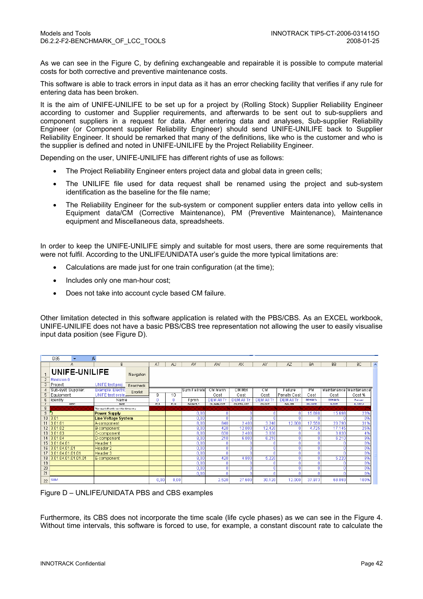As we can see in the Figure C, by defining exchangeable and repairable it is possible to compute material costs for both corrective and preventive maintenance costs.

This software is able to track errors in input data as it has an error checking facility that verifies if any rule for entering data has been broken.

It is the aim of UNIFE-UNILIFE to be set up for a project by (Rolling Stock) Supplier Reliability Engineer according to customer and Supplier requirements, and afterwards to be sent out to sub-suppliers and component suppliers in a request for data. After entering data and analyses, Sub-supplier Reliability Engineer (or Component supplier Reliability Engineer) should send UNIFE-UNILIFE back to Supplier Reliability Engineer. It should be remarked that many of the definitions, like who is the customer and who is the supplier is defined and noted in UNIFE-UNILIFE by the Project Reliability Engineer.

Depending on the user, UNIFE-UNILIFE has different rights of use as follows:

- The Project Reliability Engineer enters project data and global data in green cells;
- The UNILIFE file used for data request shall be renamed using the project and sub-system identification as the baseline for the file name;
- The Reliability Engineer for the sub-system or component supplier enters data into yellow cells in Equipment data/CM (Corrective Maintenance), PM (Preventive Maintenance), Maintenance equipment and Miscellaneous data, spreadsheets.

In order to keep the UNIFE-UNILIFE simply and suitable for most users, there are some requirements that were not fulfil. According to the UNLIFE/UNIDATA user's guide the more typical limitations are:

- Calculations are made just for one train configuration (at the time);
- Includes only one man-hour cost;
- Does not take into account cycle based CM failure.

Other limitation detected in this software application is related with the PBS/CBS. As an EXCEL workbook, UNIFE-UNILIFE does not have a basic PBS/CBS tree representation not allowing the user to easily visualise input data position (see Figure D).

|                 | D35                 |                                         |            |            |              |                   |                |                |                   |                   |                 |                 |                           |                     |
|-----------------|---------------------|-----------------------------------------|------------|------------|--------------|-------------------|----------------|----------------|-------------------|-------------------|-----------------|-----------------|---------------------------|---------------------|
|                 | А                   | B                                       |            | AT         | AU           | AV                | AW             | AX             | AY                | AZ.               | <b>BA</b>       | <b>BB</b>       | BC                        | $\hat{\phantom{a}}$ |
|                 | UNIFE-UNILIFE       |                                         | Navigation |            |              |                   |                |                |                   |                   |                 |                 |                           |                     |
| $\overline{c}$  | Revision 0          |                                         |            |            |              |                   |                |                |                   |                   |                 |                 |                           |                     |
| 3               | Project:            | UNIFE test proj                         | Errorcheck |            |              |                   |                |                |                   |                   |                 |                 |                           |                     |
|                 | Sub-syst. Supplier: | <b>Example: Electric</b>                | Errorlist  |            |              | Sum Failratel     | CM Manh        | CM Mtrl        | CМ                | Failure           | PМ              |                 | Maintenance   Maintenance |                     |
| 5.              | Equipment:          | UNIFE test syste                        |            | g          | 10           |                   | Cost           | Cost           | Cost              | Penalty Cost      | Cost            | Cost            | Cost %                    |                     |
| 6               | Identity            | Name                                    |            | Ω          | n            | Fpmh              | <b>DEMAILT</b> | <b>DEMAILT</b> | <b>DEM All Tr</b> | <b>DEM All Tr</b> | <b>DEMAILT:</b> | <b>DEMAILT:</b> | Persent                   |                     |
|                 | IDENT               | HAME                                    |            | <b>TCI</b> | <b>PC 10</b> | <b>FAILRATE_T</b> | CH_HANK_COST   | CH_HTRL_COST   | CH_COST           | <b>FAIL PER</b>   | <b>PH_COST2</b> | <b>H_COST</b>   | <b>HUCOSTLP</b>           |                     |
| 8               |                     | Thir rawshall nat be wed far data entry |            |            |              |                   |                |                |                   |                   |                 |                 |                           |                     |
| $\overline{9}$  | A                   | <b>Power Supply</b>                     |            |            |              | 0,00              |                |                |                   |                   | 15.698          | 15.698          | 23%                       |                     |
| 10 <sub>1</sub> | 3.01                | <b>Line Voltage System</b>              |            |            |              | 0,00              |                |                |                   |                   |                 |                 | 0%                        |                     |
|                 | 3.01.01             | A-component                             |            |            |              | 8,00              | 840            | 2.400          | 3.240             | 12.000            | 17.550          | 20.790          | 31%                       |                     |
| 12 <sup>2</sup> | 3.01.02             | B-component                             |            |            |              | 8,00              | 420            | 12.000         | 12.420            |                   | 4.725           | 17.145          | 25%                       |                     |
|                 | 13 3.01.03          | C-component                             |            |            |              | 8,00              | 630            | 2.400          | 3.030             |                   |                 | 3.030           | 4%                        |                     |
| 14              | 3.01.04             | D-component                             |            |            |              | 8,00              | 210            | 6,000          | 6.210             |                   |                 | 6.210           | 9%                        |                     |
|                 | 15 3.01.04.01       | Header 1                                |            |            |              | 0,00              |                |                |                   |                   |                 |                 | 0%                        |                     |
| 16              | 3.01.04.01.01       | Header 2                                |            |            |              | 0,00              |                |                |                   |                   |                 |                 | 0%                        |                     |
| 17              | 3.01.04.01.01.01    | Header 3                                |            |            |              | 0,00              |                |                |                   |                   |                 |                 | 0%                        |                     |
| 18              | 3.01.04.01.01.01.01 | E-component                             |            |            |              | 8,00              | 420            | 4.800          | 5.220             |                   |                 | 5.220           | 8%                        |                     |
| 19              |                     |                                         |            |            |              | 0,00              |                |                |                   |                   |                 |                 | 0%                        |                     |
| 20              |                     |                                         |            |            |              | 0,00              |                |                |                   |                   |                 |                 | 0%                        |                     |
| 21              |                     |                                         |            |            |              | 0.00              |                |                |                   |                   |                 |                 | 0%                        |                     |
| 22              | <b>SUM</b>          |                                         |            | 0.00       | 0,00         |                   | 2.520          | 27.600         | 30.120            | 12.000            | 37.973          | 68.093          | 100%                      |                     |

Figure D – UNLIFE/UNIDATA PBS and CBS examples

Furthermore, its CBS does not incorporate the time scale (life cycle phases) as we can see in the Figure 4. Without time intervals, this software is forced to use, for example, a constant discount rate to calculate the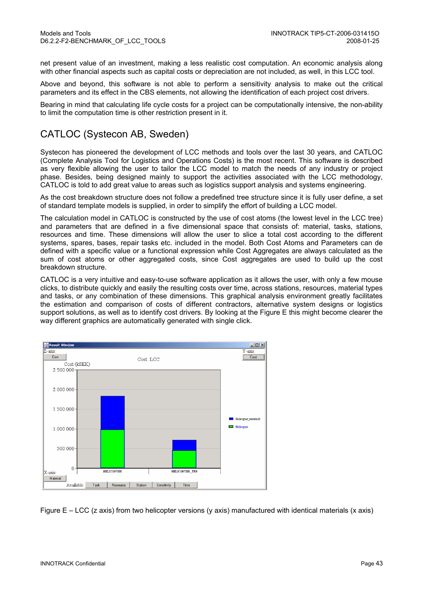net present value of an investment, making a less realistic cost computation. An economic analysis along with other financial aspects such as capital costs or depreciation are not included, as well, in this LCC tool.

Above and beyond, this software is not able to perform a sensitivity analysis to make out the critical parameters and its effect in the CBS elements, not allowing the identification of each project cost drivers.

Bearing in mind that calculating life cycle costs for a project can be computationally intensive, the non-ability to limit the computation time is other restriction present in it.

### CATLOC (Systecon AB, Sweden)

Systecon has pioneered the development of LCC methods and tools over the last 30 years, and CATLOC (Complete Analysis Tool for Logistics and Operations Costs) is the most recent. This software is described as very flexible allowing the user to tailor the LCC model to match the needs of any industry or project phase. Besides, being designed mainly to support the activities associated with the LCC methodology, CATLOC is told to add great value to areas such as logistics support analysis and systems engineering.

As the cost breakdown structure does not follow a predefined tree structure since it is fully user define, a set of standard template models is supplied, in order to simplify the effort of building a LCC model.

The calculation model in CATLOC is constructed by the use of cost atoms (the lowest level in the LCC tree) and parameters that are defined in a five dimensional space that consists of: material, tasks, stations, resources and time. These dimensions will allow the user to slice a total cost according to the different systems, spares, bases, repair tasks etc. included in the model. Both Cost Atoms and Parameters can de defined with a specific value or a functional expression while Cost Aggregates are always calculated as the sum of cost atoms or other aggregated costs, since Cost aggregates are used to build up the cost breakdown structure.

CATLOC is a very intuitive and easy-to-use software application as it allows the user, with only a few mouse clicks, to distribute quickly and easily the resulting costs over time, across stations, resources, material types and tasks, or any combination of these dimensions. This graphical analysis environment greatly facilitates the estimation and comparison of costs of different contractors, alternative system designs or logistics support solutions, as well as to identify cost drivers. By looking at the Figure E this might become clearer the way different graphics are automatically generated with single click.



Figure E – LCC (z axis) from two helicopter versions (y axis) manufactured with identical materials (x axis)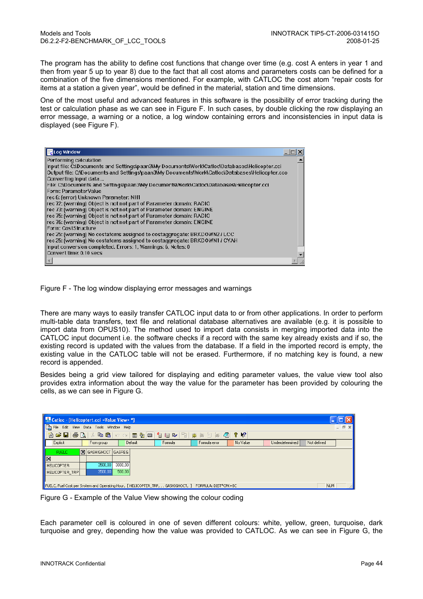The program has the ability to define cost functions that change over time (e.g. cost A enters in year 1 and then from year 5 up to year 8) due to the fact that all cost atoms and parameters costs can be defined for a combination of the five dimensions mentioned. For example, with CATLOC the cost atom "repair costs for items at a station a given year", would be defined in the material, station and time dimensions.

One of the most useful and advanced features in this software is the possibility of error tracking during the test or calculation phase as we can see in Figure F. In such cases, by double clicking the row displaying an error message, a warning or a notice, a log window containing errors and inconsistencies in input data is displayed (see Figure F).

| <b>R</b> Log Window                                                                              |  |
|--------------------------------------------------------------------------------------------------|--|
| Performing calculation                                                                           |  |
| Input file: C:\Documents and Settings\paan3\My Documents\Work\Catloc\Databases\Helicopter.cci    |  |
| output file: C:\Documents and Settings\paan3\My Documents\Work\Catloc\Databases\Helicopter.cco() |  |
| Converting input data                                                                            |  |
| File: C:\Documents and Settings\paan3\My Documents\Work\Catloc\Databases\Helicopter.cci          |  |
| Form: ParameterValue                                                                             |  |
| rec 6: (error) Unknown Parameter: NH1                                                            |  |
| rec 72: (warning) Object is not not part of Parameter domain: RADIO                              |  |
| rec 73: (warning) Object is not not part of Parameter domain: ENGINE                             |  |
| rec 75: (warning) Object is not not part of Parameter domain: RADIO                              |  |
| Frec 76: (warning) Object is not not part of Parameter domain: ENGINE                            |  |
| llForm: CostStructure                                                                            |  |
| $\parallel$ rec 25: (warning) No costatoms assigned to costaggregate: BRKDOWN2 / LCC             |  |
| rec 25: (warning) No costatoms assigned to costaggregate: BRKDOWN1 / CYAH                        |  |
| Input conversion completed. Errors: 1, Warnings: 6, Notes: 0                                     |  |
| Convert time: 0.10 secs                                                                          |  |
|                                                                                                  |  |

Figure F - The log window displaying error messages and warnings

There are many ways to easily transfer CATLOC input data to or from other applications. In order to perform multi-table data transfers, text file and relational database alternatives are available (e.g. it is possible to import data from OPUS10). The method used to import data consists in merging imported data into the CATLOC input document i.e. the software checks if a record with the same key already exists and if so, the existing record is updated with the values from the database. If a field in the imported record is empty, the existing value in the CATLOC table will not be erased. Furthermore, if no matching key is found, a new record is appended.

Besides being a grid view tailored for displaying and editing parameter values, the value view tool also provides extra information about the way the value for the parameter has been provided by colouring the cells, as we can see in Figure G.

| The Catloc - [Helicoptert.cci <value view="">*]</value> |                                                                                                                |         |         |               |                      |                 |                 |  |
|---------------------------------------------------------|----------------------------------------------------------------------------------------------------------------|---------|---------|---------------|----------------------|-----------------|-----------------|--|
| $\mathbf{a}$ File                                       | Edit View Data Tools Window Help                                                                               |         |         |               |                      |                 | $ \bar{\sigma}$ |  |
| in<br>$\mathcal{C} \boxdot \mathbb{R}$                  |                                                                                                                |         |         |               | $\mathbb{R}^2$<br>ୃହ |                 |                 |  |
| Explicit                                                | From group                                                                                                     | Default | Formula | Formula error | No Value             | Underdetermined | Not defined     |  |
| <b>FUELD</b>                                            | $ \mathbf{\nabla} $ GASHIGHOCT   GASREG                                                                        |         |         |               |                      |                 |                 |  |
| $\overline{\mathbb{Z}}$                                 |                                                                                                                |         |         |               |                      |                 |                 |  |
| <b>I</b> HELICOPTER                                     | 3500,00                                                                                                        | 3000,00 |         |               |                      |                 |                 |  |
| <b>HELICOPTER TRP</b>                                   | 3500,00                                                                                                        | 500,00  |         |               |                      |                 |                 |  |
|                                                         |                                                                                                                |         |         |               |                      |                 |                 |  |
|                                                         | FUELC, Fuel Cost per System and Operating Hour, [HELICOPTER_TRP, , , GASHIGHOCT, ] FORMULA: DIST*CPK+BC<br>NUM |         |         |               |                      |                 |                 |  |

Figure G - Example of the Value View showing the colour coding

Each parameter cell is coloured in one of seven different colours: white, yellow, green, turquoise, dark turquoise and grey, depending how the value was provided to CATLOC. As we can see in Figure G, the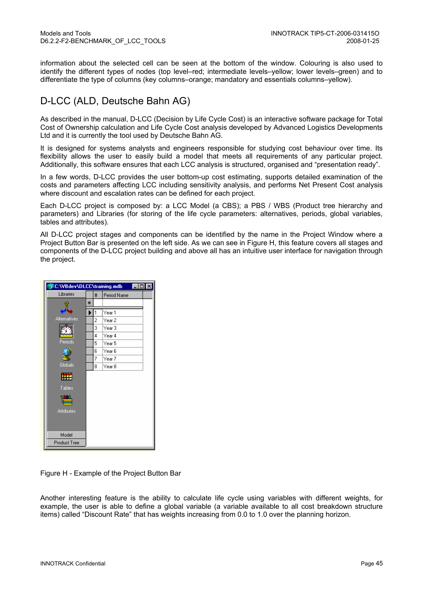information about the selected cell can be seen at the bottom of the window. Colouring is also used to identify the different types of nodes (top level–red; intermediate levels–yellow; lower levels–green) and to differentiate the type of columns (key columns–orange; mandatory and essentials columns–yellow).

### D-LCC (ALD, Deutsche Bahn AG)

As described in the manual, D-LCC (Decision by Life Cycle Cost) is an interactive software package for Total Cost of Ownership calculation and Life Cycle Cost analysis developed by Advanced Logistics Developments Ltd and it is currently the tool used by Deutsche Bahn AG.

It is designed for systems analysts and engineers responsible for studying cost behaviour over time. Its flexibility allows the user to easily build a model that meets all requirements of any particular project. Additionally, this software ensures that each LCC analysis is structured, organised and "presentation ready".

In a few words, D-LCC provides the user bottom-up cost estimating, supports detailed examination of the costs and parameters affecting LCC including sensitivity analysis, and performs Net Present Cost analysis where discount and escalation rates can be defined for each project.

Each D-LCC project is composed by: a LCC Model (a CBS); a PBS / WBS (Product tree hierarchy and parameters) and Libraries (for storing of the life cycle parameters: alternatives, periods, global variables, tables and attributes).

All D-LCC project stages and components can be identified by the name in the Project Window where a Project Button Bar is presented on the left side. As we can see in Figure H, this feature covers all stages and components of the D-LCC project building and above all has an intuitive user interface for navigation through the project.



Figure H - Example of the Project Button Bar

Another interesting feature is the ability to calculate life cycle using variables with different weights, for example, the user is able to define a global variable (a variable available to all cost breakdown structure items) called "Discount Rate" that has weights increasing from 0.0 to 1.0 over the planning horizon.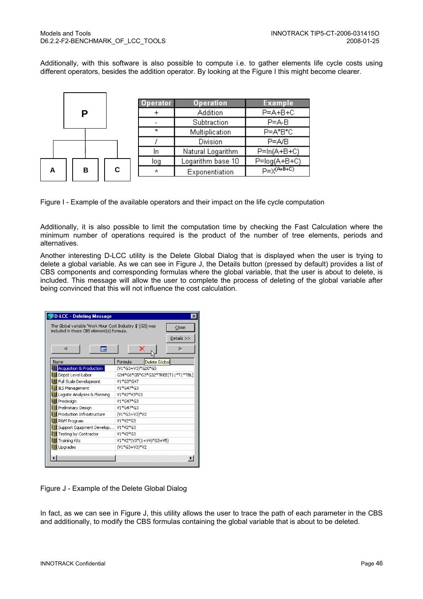Additionally, with this software is also possible to compute i.e. to gather elements life cycle costs using different operators, besides the addition operator. By looking at the Figure I this might become clearer.

|   |   |   | Operator | <b>Operation</b>  | <b>Example</b>       |
|---|---|---|----------|-------------------|----------------------|
|   | Р |   |          | Addition          | $P = A + B + C$      |
|   |   |   |          | Subtraction       | $P = A - B$          |
|   |   |   | ÷        | Multiplication    | P=A*B*C              |
|   |   |   |          | Division          | $P = A/B$            |
|   |   |   | In       | Natural Logarithm | $P=ln(A+B+C)$        |
|   |   |   | loq      | Logarithm base 10 | $P = log(A+B+C)$     |
| А | в | С | л        | Exponentiation    | $p = \sqrt{(A+B+C)}$ |

Figure I - Example of the available operators and their impact on the life cycle computation

Additionally, it is also possible to limit the computation time by checking the Fast Calculation where the minimum number of operations required is the product of the number of tree elements, periods and alternatives.

Another interesting D-LCC utility is the Delete Global Dialog that is displayed when the user is trying to delete a global variable. As we can see in Figure J, the Details button (pressed by default) provides a list of CBS components and corresponding formulas where the global variable, that the user is about to delete, is included. This message will allow the user to complete the process of deleting of the global variable after being convinced that this will not influence the cost calculation.

| <b>SD-LCC - Deleting Message</b>                                                                       | $\times$                           |  |  |  |  |
|--------------------------------------------------------------------------------------------------------|------------------------------------|--|--|--|--|
| The Global variable 'Work Hour Cost Industry \$' [G3] was<br>included in those CBS element(s) formula. | Close<br>Details >>                |  |  |  |  |
| 思                                                                                                      | ×                                  |  |  |  |  |
| Name                                                                                                   | Formula<br>Delete Global           |  |  |  |  |
| <b>Acquisition &amp; Production</b>                                                                    | (V1*G3+V3)*G20*G5                  |  |  |  |  |
| Depot Level Labor                                                                                      | G34*G6*G5*G3*G32*TREE(T11*T1*TBL(: |  |  |  |  |
| Full Scale Development                                                                                 | V1*G3*G47                          |  |  |  |  |
| ILS Management                                                                                         | V1*G47*G3                          |  |  |  |  |
| Logistic Analyses & Planning                                                                           | V1*V2*V3*G3                        |  |  |  |  |
| Predesign                                                                                              | V1*G47*G3                          |  |  |  |  |
| Preliminary Design                                                                                     | V1*G47*G3                          |  |  |  |  |
| Production Infrastructure                                                                              | (V1*G3+V3)*V2                      |  |  |  |  |
| R&M Program                                                                                            | V1*V2*G3                           |  |  |  |  |
| Support Equipment Develop                                                                              | V1*V2*G3                           |  |  |  |  |
| Testing by Contractor                                                                                  | V1*V2*G3                           |  |  |  |  |
| Training Kits                                                                                          | V1*V2*(V3*(1+V4)*G3+V5)            |  |  |  |  |
| Upgrades                                                                                               | (V1*G3+V3)*V2                      |  |  |  |  |
|                                                                                                        |                                    |  |  |  |  |
|                                                                                                        |                                    |  |  |  |  |

Figure J - Example of the Delete Global Dialog

In fact, as we can see in Figure J, this utility allows the user to trace the path of each parameter in the CBS and additionally, to modify the CBS formulas containing the global variable that is about to be deleted.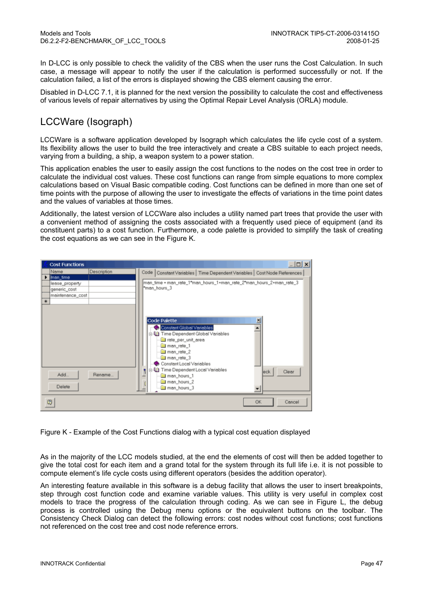In D-LCC is only possible to check the validity of the CBS when the user runs the Cost Calculation. In such case, a message will appear to notify the user if the calculation is performed successfully or not. If the calculation failed, a list of the errors is displayed showing the CBS element causing the error.

Disabled in D-LCC 7.1, it is planned for the next version the possibility to calculate the cost and effectiveness of various levels of repair alternatives by using the Optimal Repair Level Analysis (ORLA) module.

### LCCWare (Isograph)

LCCWare is a software application developed by Isograph which calculates the life cycle cost of a system. Its flexibility allows the user to build the tree interactively and create a CBS suitable to each project needs, varying from a building, a ship, a weapon system to a power station.

This application enables the user to easily assign the cost functions to the nodes on the cost tree in order to calculate the individual cost values. These cost functions can range from simple equations to more complex calculations based on Visual Basic compatible coding. Cost functions can be defined in more than one set of time points with the purpose of allowing the user to investigate the effects of variations in the time point dates and the values of variables at those times.

Additionally, the latest version of LCCWare also includes a utility named part trees that provide the user with a convenient method of assigning the costs associated with a frequently used piece of equipment (and its constituent parts) to a cost function. Furthermore, a code palette is provided to simplify the task of creating the cost equations as we can see in the Figure K.



Figure K - Example of the Cost Functions dialog with a typical cost equation displayed

As in the majority of the LCC models studied, at the end the elements of cost will then be added together to give the total cost for each item and a grand total for the system through its full life i.e. it is not possible to compute element's life cycle costs using different operators (besides the addition operator).

An interesting feature available in this software is a debug facility that allows the user to insert breakpoints, step through cost function code and examine variable values. This utility is very useful in complex cost models to trace the progress of the calculation through coding. As we can see in Figure L, the debug process is controlled using the Debug menu options or the equivalent buttons on the toolbar. The Consistency Check Dialog can detect the following errors: cost nodes without cost functions; cost functions not referenced on the cost tree and cost node reference errors.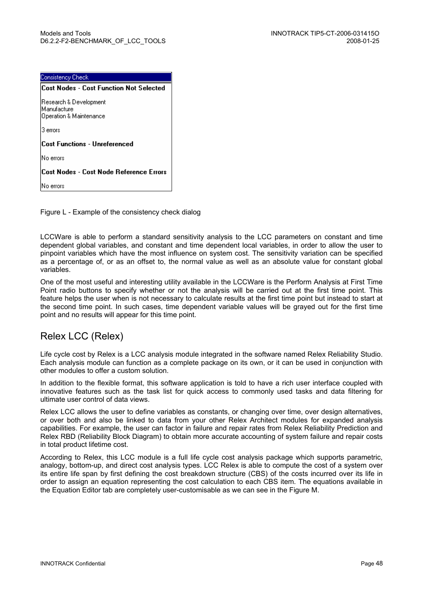| Consistency Check                                                |  |  |  |  |  |
|------------------------------------------------------------------|--|--|--|--|--|
| <b>Cost Nodes - Cost Function Not Selected</b>                   |  |  |  |  |  |
| Research & Development<br>Manufacture<br>Operation & Maintenance |  |  |  |  |  |
| 3 errors                                                         |  |  |  |  |  |
| Cost Functions - Unreferenced                                    |  |  |  |  |  |
| No errors                                                        |  |  |  |  |  |
| Cost Nodes - Cost Node Reference Errors                          |  |  |  |  |  |
| errors                                                           |  |  |  |  |  |

Figure L - Example of the consistency check dialog

LCCWare is able to perform a standard sensitivity analysis to the LCC parameters on constant and time dependent global variables, and constant and time dependent local variables, in order to allow the user to pinpoint variables which have the most influence on system cost. The sensitivity variation can be specified as a percentage of, or as an offset to, the normal value as well as an absolute value for constant global variables.

One of the most useful and interesting utility available in the LCCWare is the Perform Analysis at First Time Point radio buttons to specify whether or not the analysis will be carried out at the first time point. This feature helps the user when is not necessary to calculate results at the first time point but instead to start at the second time point. In such cases, time dependent variable values will be grayed out for the first time point and no results will appear for this time point.

### Relex LCC (Relex)

Life cycle cost by Relex is a LCC analysis module integrated in the software named Relex Reliability Studio. Each analysis module can function as a complete package on its own, or it can be used in conjunction with other modules to offer a custom solution.

In addition to the flexible format, this software application is told to have a rich user interface coupled with innovative features such as the task list for quick access to commonly used tasks and data filtering for ultimate user control of data views.

Relex LCC allows the user to define variables as constants, or changing over time, over design alternatives, or over both and also be linked to data from your other Relex Architect modules for expanded analysis capabilities. For example, the user can factor in failure and repair rates from Relex Reliability Prediction and Relex RBD (Reliability Block Diagram) to obtain more accurate accounting of system failure and repair costs in total product lifetime cost.

According to Relex, this LCC module is a full life cycle cost analysis package which supports parametric, analogy, bottom-up, and direct cost analysis types. LCC Relex is able to compute the cost of a system over its entire life span by first defining the cost breakdown structure (CBS) of the costs incurred over its life in order to assign an equation representing the cost calculation to each CBS item. The equations available in the Equation Editor tab are completely user-customisable as we can see in the Figure M.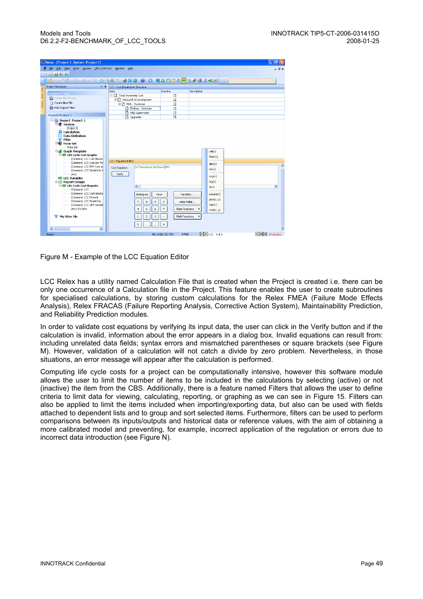| Relex - [Project 1, System: Project 1]                                                                          |                                             |                                 |                       | L  리 ×                 |
|-----------------------------------------------------------------------------------------------------------------|---------------------------------------------|---------------------------------|-----------------------|------------------------|
| Edit View Tools System Life Cycle Cost Window<br>$R$ File                                                       | Help                                        |                                 |                       | $  \sqrt{2}$ $\times$  |
| 日面老老<br>▌▛ <sub>░</sub> ▏▙▐▓▛▜ <mark>▒▒▝▒▝▒▝▒</mark> ▌▓░▏▒▌░▌▓▌▓▌▓▌▓▌▓▌▓▎▞▏▘ <sup></sup> ▘ <sup></sup> ░▘▘▒▏▞▋▊ |                                             |                                 |                       |                        |
| Project Navigator                                                                                               | * # LCC - Cost Breakdown Structure          |                                 |                       |                        |
| Data                                                                                                            | Item                                        | Inactive                        | Description           |                        |
| $\overline{m}$<br><b>Navigator Tasks</b>                                                                        | 日日 Total Ownership Cost                     | $\Box$                          |                       |                        |
| Create New Project                                                                                              | 白目 Research & Development                   | $\Box$                          |                       |                        |
| leids Toolbar<br>Create New File                                                                                | 白日 R&D - Customer                           | $\Box$                          |                       |                        |
| Hide Support Files                                                                                              | Testing - Customer                          | $\Box$                          |                       |                        |
|                                                                                                                 | R&D Supervision                             | $\Box$                          |                       |                        |
| <b>Project: Project 1</b>                                                                                       | la Upgrades                                 | $\Box$                          |                       |                        |
| $\Box$ Project: Project 1                                                                                       |                                             |                                 |                       |                        |
| <b>D</b> <sup><i>n</i></sup> System                                                                             |                                             |                                 |                       |                        |
| Protect 1                                                                                                       |                                             |                                 |                       |                        |
| Calculation                                                                                                     |                                             |                                 |                       |                        |
| <b>Data Definition</b>                                                                                          |                                             |                                 |                       |                        |
| Filter<br><b>Electric Form Set</b>                                                                              |                                             |                                 |                       |                        |
| Form Set                                                                                                        |                                             |                                 |                       |                        |
| <b>B</b> Graph Template                                                                                         |                                             |                                 | $\text{ceil}(x)$      |                        |
| <b>E 60</b> Life Cycle Cost Graphs                                                                              |                                             |                                 | floor(x)              |                        |
| (Common) LCC Cost Breakd                                                                                        | <b>LCC - Equation Editor</b>                |                                 |                       |                        |
| (Common) LCC Cost per Tin                                                                                       |                                             |                                 | abs(x)                |                        |
| (Common) LCC NPV Cost pe                                                                                        | (V1*WorkHourCostDF+V3)*V2<br>Cost Equation: |                                 | inv(x)                |                        |
| (Common) LCC Sensitivity A                                                                                      | Verify                                      |                                 |                       |                        |
| proj1<br><b>ED</b> LCC Variables                                                                                |                                             |                                 | exp(x)                |                        |
| 白樹<br><b>Report Design</b>                                                                                      |                                             |                                 | log(x)                |                        |
| <b>E-181</b> Life Cycle Cost Reports                                                                            | $\left\langle \right\rangle$                |                                 | ln(x)                 | $\rightarrow$          |
| (Common) LCC                                                                                                    |                                             |                                 |                       |                        |
| (Common) LCC Cost Breakd                                                                                        | Backspace<br>Clear                          | Variables                       | square(x)             |                        |
| (Common) LCC Percent                                                                                            |                                             |                                 | pow(x, y)             |                        |
| (Common) LCC Sensitivity<br>(Common) LCC with Variable                                                          | $\overline{7}$<br>8<br>9                    | Data Fields                     | sqrt(x)               |                        |
| proj1 (Graph)                                                                                                   | 5<br>6<br>$\ddot{\phi}$                     | Date Functions                  |                       |                        |
|                                                                                                                 |                                             |                                 | root(x, y)            |                        |
| My Filter File                                                                                                  | $\bar{z}$<br>3<br>$\mathbf{1}$              | Math Functions                  | ٠                     |                        |
|                                                                                                                 |                                             |                                 |                       |                        |
|                                                                                                                 | $\mathbf{0}$                                |                                 |                       |                        |
| $\rightarrow$<br>₹<br><b>TIT</b>                                                                                |                                             |                                 |                       |                        |
| Ready                                                                                                           |                                             | <b>FPMH</b><br>MIL-HDBK-217 FN2 | <b>MT4</b> LCC 4 of 6 | <b>FENE</b> Evaluation |

Figure M - Example of the LCC Equation Editor

LCC Relex has a utility named Calculation File that is created when the Project is created i.e. there can be only one occurrence of a Calculation file in the Project. This feature enables the user to create subroutines for specialised calculations, by storing custom calculations for the Relex FMEA (Failure Mode Effects Analysis), Relex FRACAS (Failure Reporting Analysis, Corrective Action System), Maintainability Prediction, and Reliability Prediction modules.

In order to validate cost equations by verifying its input data, the user can click in the Verify button and if the calculation is invalid, information about the error appears in a dialog box. Invalid equations can result from: including unrelated data fields; syntax errors and mismatched parentheses or square brackets (see Figure M). However, validation of a calculation will not catch a divide by zero problem. Nevertheless, in those situations, an error message will appear after the calculation is performed.

Computing life cycle costs for a project can be computationally intensive, however this software module allows the user to limit the number of items to be included in the calculations by selecting (active) or not (inactive) the item from the CBS. Additionally, there is a feature named Filters that allows the user to define criteria to limit data for viewing, calculating, reporting, or graphing as we can see in Figure 15. Filters can also be applied to limit the items included when importing/exporting data, but also can be used with fields attached to dependent lists and to group and sort selected items. Furthermore, filters can be used to perform comparisons between its inputs/outputs and historical data or reference values, with the aim of obtaining a more calibrated model and preventing, for example, incorrect application of the regulation or errors due to incorrect data introduction (see Figure N).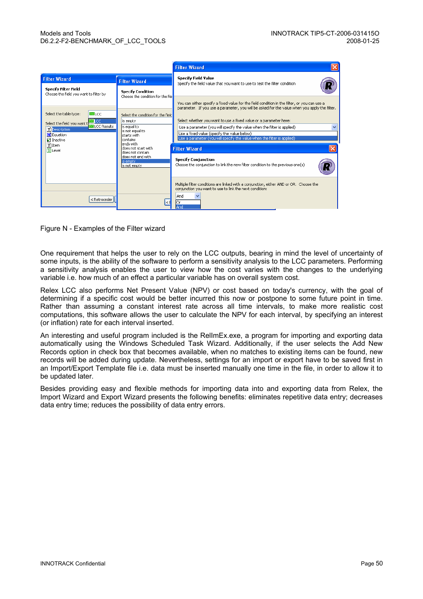|                                                                                                                 |                                                               | <b>Filter Wizard</b>                                                                                                                                                                              |  |  |  |  |
|-----------------------------------------------------------------------------------------------------------------|---------------------------------------------------------------|---------------------------------------------------------------------------------------------------------------------------------------------------------------------------------------------------|--|--|--|--|
| <b>Filter Wizard</b>                                                                                            | <b>Filter Wizard</b>                                          | <b>Specify Field Value</b><br>Specify the field value that you want to use to test the filter condition                                                                                           |  |  |  |  |
| <b>Specify Filter Field</b><br>Choose the field you want to filter by                                           | <b>Specify Condition</b><br>Choose the condition for the fiel |                                                                                                                                                                                                   |  |  |  |  |
|                                                                                                                 |                                                               | You can either specify a fixed value for the field condition in the filter, or you can use a<br>parameter. If you use a parameter, you will be asked for the value when you apply the filter.     |  |  |  |  |
| Select the table type:<br><b>BLCC</b><br><b>ESTLCC</b>                                                          | Select the condition for the field<br>is empty                | Select whether you want to use a fixed value or a parameter here:                                                                                                                                 |  |  |  |  |
| Select the field you want the<br><b>OLCC Results</b><br><b>T</b> Description<br>M Equation<br><b>Ø</b> Inactive | is equal to<br>is not equal to<br>starts with<br>contains     | Use a parameter (you will specify the value when the filter is applied)<br>Use a fixed value (specify the value below)<br>Use a parameter (you will specify the value when the filter is applied) |  |  |  |  |
| T Item<br>$\Pi$ Level                                                                                           | lends with<br>does not start with<br>ldoes not contain.       | <b>Filter Wizard</b>                                                                                                                                                                              |  |  |  |  |
|                                                                                                                 | ldoes not end with<br>is empty.<br>is not empty               | <b>Specify Conjunction</b><br>Choose the conjunction to link the new filter condition to the previous one(s)                                                                                      |  |  |  |  |
| < Retroceder                                                                                                    |                                                               | Multiple filter conditions are linked with a conjunction, either AND or OR. Choose the<br>conjunction you want to use to link the next condition:<br>And<br>lOr<br>And                            |  |  |  |  |

Figure N - Examples of the Filter wizard

One requirement that helps the user to rely on the LCC outputs, bearing in mind the level of uncertainty of some inputs, is the ability of the software to perform a sensitivity analysis to the LCC parameters. Performing a sensitivity analysis enables the user to view how the cost varies with the changes to the underlying variable i.e. how much of an effect a particular variable has on overall system cost.

Relex LCC also performs Net Present Value (NPV) or cost based on today's currency, with the goal of determining if a specific cost would be better incurred this now or postpone to some future point in time. Rather than assuming a constant interest rate across all time intervals, to make more realistic cost computations, this software allows the user to calculate the NPV for each interval, by specifying an interest (or inflation) rate for each interval inserted.

An interesting and useful program included is the RelImEx.exe, a program for importing and exporting data automatically using the Windows Scheduled Task Wizard. Additionally, if the user selects the Add New Records option in check box that becomes available, when no matches to existing items can be found, new records will be added during update. Nevertheless, settings for an import or export have to be saved first in an Import/Export Template file i.e. data must be inserted manually one time in the file, in order to allow it to be updated later.

Besides providing easy and flexible methods for importing data into and exporting data from Relex, the Import Wizard and Export Wizard presents the following benefits: eliminates repetitive data entry; decreases data entry time; reduces the possibility of data entry errors.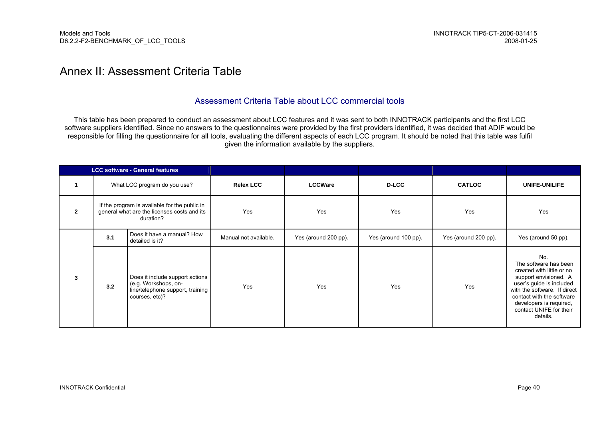### Annex II: Assessment Criteria Table

#### Assessment Criteria Table about LCC commercial tools

This table has been prepared to conduct an assessment about LCC features and it was sent to both INNOTRACK participants and the first LCC software suppliers identified. Since no answers to the questionnaires were provided by the first providers identified, it was decided that ADIF would be responsible for filling the questionnaire for all tools, evaluating the different aspects of each LCC program. It should be noted that this table was fulfil given the information available by the suppliers.

|              |     | <b>LCC software - General features</b>                                                                        |                       |                      |                      |                      |                                                                                                                                                                                                                                               |
|--------------|-----|---------------------------------------------------------------------------------------------------------------|-----------------------|----------------------|----------------------|----------------------|-----------------------------------------------------------------------------------------------------------------------------------------------------------------------------------------------------------------------------------------------|
|              |     | What LCC program do you use?                                                                                  | <b>Relex LCC</b>      | <b>LCCWare</b>       | <b>D-LCC</b>         | <b>CATLOC</b>        | UNIFE-UNILIFE                                                                                                                                                                                                                                 |
| $\mathbf{2}$ |     | If the program is available for the public in<br>general what are the licenses costs and its<br>duration?     | Yes                   | Yes                  | Yes                  | Yes                  | Yes                                                                                                                                                                                                                                           |
|              | 3.1 | Does it have a manual? How<br>detailed is it?                                                                 | Manual not available. | Yes (around 200 pp). | Yes (around 100 pp). | Yes (around 200 pp). | Yes (around 50 pp).                                                                                                                                                                                                                           |
| $\mathbf{3}$ | 3.2 | Does it include support actions<br>(e.g. Workshops, on-<br>line/telephone support, training<br>courses, etc)? | Yes                   | Yes                  | Yes                  | Yes                  | No.<br>The software has been<br>created with little or no<br>support envisioned. A<br>user's guide is included<br>with the software. If direct<br>contact with the software<br>developers is required,<br>contact UNIFE for their<br>details. |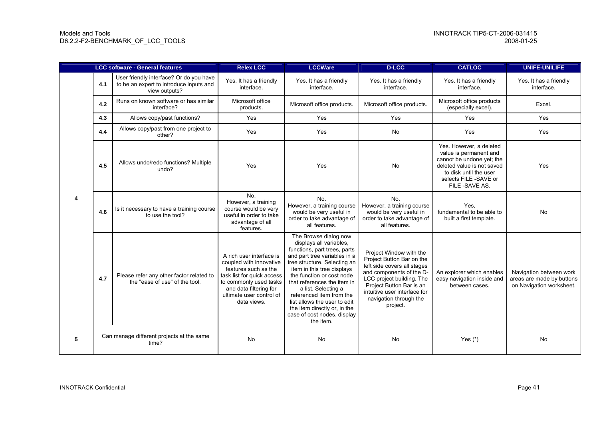|   | <b>LCC software - General features</b> |                                                                                                     | <b>Relex LCC</b>                                                                                                                                                                                         | <b>LCCWare</b>                                                                                                                                                                                                                                                                                                                                                                                            | <b>D-LCC</b>                                                                                                                                                                                                                                   | <b>CATLOC</b>                                                                                                                                                                     | <b>UNIFE-UNILIFE</b>                                                             |
|---|----------------------------------------|-----------------------------------------------------------------------------------------------------|----------------------------------------------------------------------------------------------------------------------------------------------------------------------------------------------------------|-----------------------------------------------------------------------------------------------------------------------------------------------------------------------------------------------------------------------------------------------------------------------------------------------------------------------------------------------------------------------------------------------------------|------------------------------------------------------------------------------------------------------------------------------------------------------------------------------------------------------------------------------------------------|-----------------------------------------------------------------------------------------------------------------------------------------------------------------------------------|----------------------------------------------------------------------------------|
|   | 4.1                                    | User friendly interface? Or do you have<br>to be an expert to introduce inputs and<br>view outputs? | Yes. It has a friendly<br>interface.                                                                                                                                                                     | Yes. It has a friendly<br>interface.                                                                                                                                                                                                                                                                                                                                                                      | Yes. It has a friendly<br>interface.                                                                                                                                                                                                           | Yes. It has a friendly<br>interface.                                                                                                                                              | Yes. It has a friendly<br>interface.                                             |
|   | 4.2                                    | Runs on known software or has similar<br>interface?                                                 | Microsoft office<br>products.                                                                                                                                                                            | Microsoft office products.                                                                                                                                                                                                                                                                                                                                                                                | Microsoft office products.                                                                                                                                                                                                                     | Microsoft office products<br>(especially excel).                                                                                                                                  | Excel.                                                                           |
|   | 4.3                                    | Allows copy/past functions?                                                                         | Yes                                                                                                                                                                                                      | Yes                                                                                                                                                                                                                                                                                                                                                                                                       | Yes                                                                                                                                                                                                                                            | Yes                                                                                                                                                                               | Yes                                                                              |
|   | 4.4                                    | Allows copy/past from one project to<br>other?                                                      | Yes                                                                                                                                                                                                      | Yes                                                                                                                                                                                                                                                                                                                                                                                                       | No                                                                                                                                                                                                                                             | Yes                                                                                                                                                                               | Yes                                                                              |
| 4 | 4.5                                    | Allows undo/redo functions? Multiple<br>undo?                                                       | Yes                                                                                                                                                                                                      | Yes                                                                                                                                                                                                                                                                                                                                                                                                       | No                                                                                                                                                                                                                                             | Yes. However, a deleted<br>value is permanent and<br>cannot be undone yet; the<br>deleted value is not saved<br>to disk until the user<br>selects FILE -SAVE or<br>FILE -SAVE AS. | Yes                                                                              |
|   | 4.6                                    | Is it necessary to have a training course<br>to use the tool?                                       | No.<br>However, a training<br>course would be very<br>useful in order to take<br>advantage of all<br>features.                                                                                           | No.<br>However, a training course<br>would be very useful in<br>order to take advantage of<br>all features.                                                                                                                                                                                                                                                                                               | No.<br>However, a training course<br>would be very useful in<br>order to take advantage of<br>all features.                                                                                                                                    | Yes.<br>fundamental to be able to<br>built a first template.                                                                                                                      | <b>No</b>                                                                        |
|   | 4.7                                    | Please refer any other factor related to<br>the "ease of use" of the tool.                          | A rich user interface is<br>coupled with innovative<br>features such as the<br>task list for quick access<br>to commonly used tasks<br>and data filtering for<br>ultimate user control of<br>data views. | The Browse dialog now<br>displays all variables.<br>functions, part trees, parts<br>and part tree variables in a<br>tree structure. Selecting an<br>item in this tree displays<br>the function or cost node<br>that references the item in<br>a list. Selecting a<br>referenced item from the<br>list allows the user to edit<br>the item directly or, in the<br>case of cost nodes, display<br>the item. | Project Window with the<br>Project Button Bar on the<br>left side covers all stages<br>and components of the D-<br>LCC project building. The<br>Project Button Bar is an<br>intuitive user interface for<br>navigation through the<br>project. | An explorer which enables<br>easy navigation inside and<br>between cases.                                                                                                         | Navigation between work<br>areas are made by buttons<br>on Navigation worksheet. |
| 5 |                                        | Can manage different projects at the same<br>time?                                                  | <b>No</b>                                                                                                                                                                                                | No                                                                                                                                                                                                                                                                                                                                                                                                        | No                                                                                                                                                                                                                                             | Yes $(*)$                                                                                                                                                                         | No                                                                               |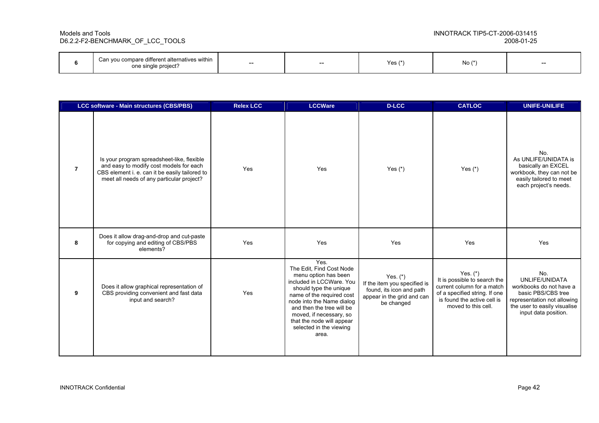|  | an you compare different alternatives within I<br>Can '<br>one single project? | -- | $- -$ | Yes $(*$ | $No (*)$ | $- -$ |
|--|--------------------------------------------------------------------------------|----|-------|----------|----------|-------|
|--|--------------------------------------------------------------------------------|----|-------|----------|----------|-------|

| LCC software - Main structures (CBS/PBS) |                                                                                                                                                                                      | <b>Relex LCC</b> | <b>LCCWare</b>                                                                                                                                                                                                                                                                                    | <b>D-LCC</b>                                                                                                       | <b>CATLOC</b>                                                                                                                                                   | <b>UNIFE-UNILIFE</b>                                                                                                                                          |
|------------------------------------------|--------------------------------------------------------------------------------------------------------------------------------------------------------------------------------------|------------------|---------------------------------------------------------------------------------------------------------------------------------------------------------------------------------------------------------------------------------------------------------------------------------------------------|--------------------------------------------------------------------------------------------------------------------|-----------------------------------------------------------------------------------------------------------------------------------------------------------------|---------------------------------------------------------------------------------------------------------------------------------------------------------------|
| $\overline{7}$                           | Is your program spreadsheet-like, flexible<br>and easy to modify cost models for each<br>CBS element i. e. can it be easily tailored to<br>meet all needs of any particular project? | Yes              | Yes                                                                                                                                                                                                                                                                                               | Yes $(*)$                                                                                                          | Yes $(*)$                                                                                                                                                       | No.<br>As UNLIFE/UNIDATA is<br>basically an EXCEL<br>workbook, they can not be<br>easily tailored to meet<br>each project's needs.                            |
| 8                                        | Does it allow drag-and-drop and cut-paste<br>for copying and editing of CBS/PBS<br>elements?                                                                                         | Yes              | Yes                                                                                                                                                                                                                                                                                               | Yes                                                                                                                | Yes                                                                                                                                                             | Yes                                                                                                                                                           |
| 9                                        | Does it allow graphical representation of<br>CBS providing convenient and fast data<br>input and search?                                                                             | Yes              | Yes.<br>The Edit. Find Cost Node<br>menu option has been<br>included in LCCWare, You<br>should type the unique<br>name of the required cost<br>node into the Name dialog<br>and then the tree will be<br>moved, if necessary, so<br>that the node will appear<br>selected in the viewing<br>area. | Yes. $(*)$<br>If the item you specified is<br>found, its icon and path<br>appear in the grid and can<br>be changed | Yes. $(*)$<br>It is possible to search the<br>current column for a match<br>of a specified string. If one<br>is found the active cell is<br>moved to this cell. | No.<br>UNLIFE/UNIDATA<br>workbooks do not have a<br>basic PBS/CBS tree<br>representation not allowing<br>the user to easily visualise<br>input data position. |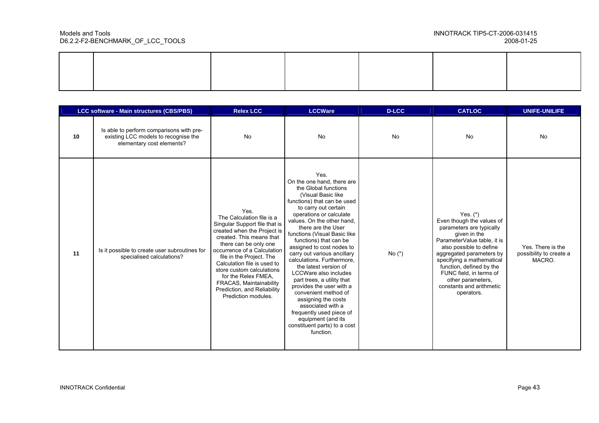|    | LCC software - Main structures (CBS/PBS)                                                                      | <b>Relex LCC</b>                                                                                                                                                                                                                                                                                                                                                                      | <b>LCCWare</b>                                                                                                                                                                                                                                                                                                                                                                                                                                                                                                                                                                                                                                            | <b>D-LCC</b> | <b>CATLOC</b>                                                                                                                                                                                                                                                                                                                | <b>UNIFE-UNILIFE</b>                                   |
|----|---------------------------------------------------------------------------------------------------------------|---------------------------------------------------------------------------------------------------------------------------------------------------------------------------------------------------------------------------------------------------------------------------------------------------------------------------------------------------------------------------------------|-----------------------------------------------------------------------------------------------------------------------------------------------------------------------------------------------------------------------------------------------------------------------------------------------------------------------------------------------------------------------------------------------------------------------------------------------------------------------------------------------------------------------------------------------------------------------------------------------------------------------------------------------------------|--------------|------------------------------------------------------------------------------------------------------------------------------------------------------------------------------------------------------------------------------------------------------------------------------------------------------------------------------|--------------------------------------------------------|
| 10 | Is able to perform comparisons with pre-<br>existing LCC models to recognise the<br>elementary cost elements? | <b>No</b>                                                                                                                                                                                                                                                                                                                                                                             | <b>No</b>                                                                                                                                                                                                                                                                                                                                                                                                                                                                                                                                                                                                                                                 | <b>No</b>    | <b>No</b>                                                                                                                                                                                                                                                                                                                    | <b>No</b>                                              |
| 11 | Is it possible to create user subroutines for<br>specialised calculations?                                    | Yes.<br>The Calculation file is a<br>Singular Support file that is<br>created when the Project is<br>created. This means that<br>there can be only one<br>occurrence of a Calculation<br>file in the Project. The<br>Calculation file is used to<br>store custom calculations<br>for the Relex FMEA,<br>FRACAS, Maintainability<br>Prediction, and Reliability<br>Prediction modules. | Yes.<br>On the one hand, there are<br>the Global functions<br>(Visual Basic like<br>functions) that can be used<br>to carry out certain<br>operations or calculate<br>values. On the other hand,<br>there are the User<br>functions (Visual Basic like<br>functions) that can be<br>assigned to cost nodes to<br>carry out various ancillary<br>calculations. Furthermore,<br>the latest version of<br>LCCWare also includes<br>part trees, a utility that<br>provides the user with a<br>convenient method of<br>assigning the costs<br>associated with a<br>frequently used piece of<br>equipment (and its<br>constituent parts) to a cost<br>function. | No $(*)$     | Yes. $(*)$<br>Even though the values of<br>parameters are typically<br>given in the<br>ParameterValue table, it is<br>also possible to define<br>aggregated parameters by<br>specifying a mathematical<br>function, defined by the<br>FUNC field, in terms of<br>other parameters,<br>constants and arithmetic<br>operators. | Yes. There is the<br>possibility to create a<br>MACRO. |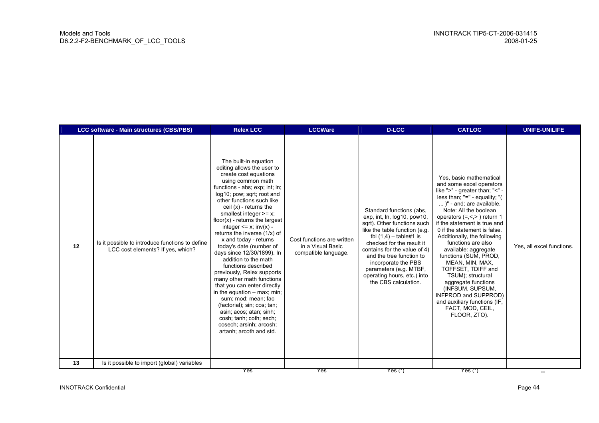| 12 | Is it possible to introduce functions to define<br>LCC cost elements? If yes, which? | The built-in equation<br>editing allows the user to<br>create cost equations<br>using common math<br>functions - abs; exp; int; ln;<br>log10; pow; sqrt; root and<br>other functions such like<br>ceil $(x)$ - returns the<br>smallest integer $>= x$ ;<br>$floor(x)$ - returns the largest<br>integer $\leq x$ ; inv(x) -<br>returns the inverse (1/x) of<br>x and today - returns<br>today's date (number of<br>days since 12/30/1899). In<br>addition to the math<br>functions described<br>previously, Relex supports<br>many other math functions<br>that you can enter directly<br>in the equation $-$ max; min;<br>sum; mod; mean; fac<br>(factorial); sin; cos; tan;<br>asin; acos; atan; sinh;<br>cosh; tanh; coth; sech;<br>cosech; arsinh; arcosh;<br>artanh; arcoth and std. | Cost functions are written<br>in a Visual Basic<br>compatible language. | Standard functions (abs.<br>exp. int. $\ln$ , $\log 10$ , $\text{pow10}$ ,<br>sqrt). Other functions such<br>like the table function (e.g.<br>tbl $(1,4)$ – table#1 is<br>checked for the result it<br>contains for the value of 4)<br>and the tree function to<br>incorporate the PBS<br>parameters (e.g. MTBF,<br>operating hours, etc.) into<br>the CBS calculation. | Yes, basic mathematical<br>and some excel operators<br>like ">" - greater than; "<" -<br>less than; $"="$ - equality; $"$<br>)" - and; are available.<br>Note: All the boolean<br>operators $(=,<)$ return 1<br>if the statement is true and<br>0 if the statement is false.<br>Additionally, the following<br>functions are also<br>available: aggregate<br>functions (SUM, PROD,<br>MEAN, MIN, MAX,<br>TOFFSET, TDIFF and<br>TSUM); structural<br>aggregate functions<br>(INFSUM, SUPSUM,<br>INFPROD and SUPPROD)<br>and auxiliary functions (IF,<br>FACT, MOD, CEIL,<br>FLOOR, ZTO). | Yes, all excel functions. |
|----|--------------------------------------------------------------------------------------|------------------------------------------------------------------------------------------------------------------------------------------------------------------------------------------------------------------------------------------------------------------------------------------------------------------------------------------------------------------------------------------------------------------------------------------------------------------------------------------------------------------------------------------------------------------------------------------------------------------------------------------------------------------------------------------------------------------------------------------------------------------------------------------|-------------------------------------------------------------------------|-------------------------------------------------------------------------------------------------------------------------------------------------------------------------------------------------------------------------------------------------------------------------------------------------------------------------------------------------------------------------|-----------------------------------------------------------------------------------------------------------------------------------------------------------------------------------------------------------------------------------------------------------------------------------------------------------------------------------------------------------------------------------------------------------------------------------------------------------------------------------------------------------------------------------------------------------------------------------------|---------------------------|
| 13 | Is it possible to import (global) variables                                          | Yes                                                                                                                                                                                                                                                                                                                                                                                                                                                                                                                                                                                                                                                                                                                                                                                      | Yes                                                                     | $Yes(*)$                                                                                                                                                                                                                                                                                                                                                                | $Yes(*)$                                                                                                                                                                                                                                                                                                                                                                                                                                                                                                                                                                                | $-\!$ $\!-$               |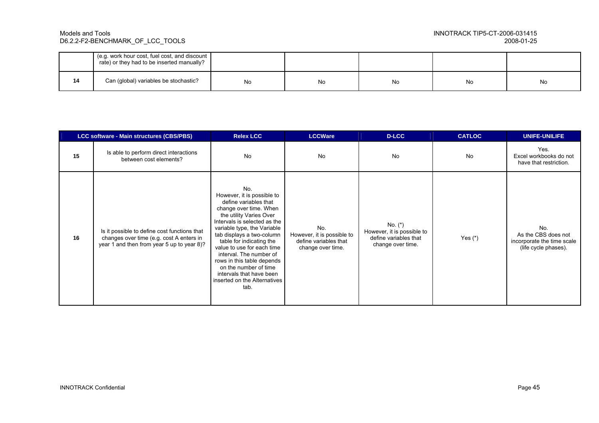|    | (e.g. work hour cost, fuel cost, and discount<br>rate) or they had to be inserted manually? |    |     |    |    |    |
|----|---------------------------------------------------------------------------------------------|----|-----|----|----|----|
| 14 | Can (global) variables be stochastic?                                                       | No | No. | No | No | No |

|    | <b>LCC software - Main structures (CBS/PBS)</b>                                                                                        | <b>Relex LCC</b>                                                                                                                                                                                                                                                                                                                                                                                                            | <b>LCCWare</b>                                                                  | <b>D-LCC</b>                                                                          | <b>CATLOC</b> | <b>UNIFE-UNILIFE</b>                                                             |
|----|----------------------------------------------------------------------------------------------------------------------------------------|-----------------------------------------------------------------------------------------------------------------------------------------------------------------------------------------------------------------------------------------------------------------------------------------------------------------------------------------------------------------------------------------------------------------------------|---------------------------------------------------------------------------------|---------------------------------------------------------------------------------------|---------------|----------------------------------------------------------------------------------|
| 15 | Is able to perform direct interactions<br>between cost elements?                                                                       | <b>No</b>                                                                                                                                                                                                                                                                                                                                                                                                                   | No                                                                              | <b>No</b>                                                                             | <b>No</b>     | Yes.<br>Excel workbooks do not<br>have that restriction.                         |
| 16 | Is it possible to define cost functions that<br>changes over time (e.g. cost A enters in<br>year 1 and then from year 5 up to year 8)? | No.<br>However, it is possible to<br>define variables that<br>change over time. When<br>the utility Varies Over<br>Intervals is selected as the<br>variable type, the Variable<br>tab displays a two-column<br>table for indicating the<br>value to use for each time<br>interval. The number of<br>rows in this table depends<br>on the number of time<br>intervals that have been<br>inserted on the Alternatives<br>tab. | No.<br>However, it is possible to<br>define variables that<br>change over time. | No. $(*)$<br>However, it is possible to<br>define variables that<br>change over time. | Yes $(*)$     | No.<br>As the CBS does not<br>incorporate the time scale<br>(life cycle phases). |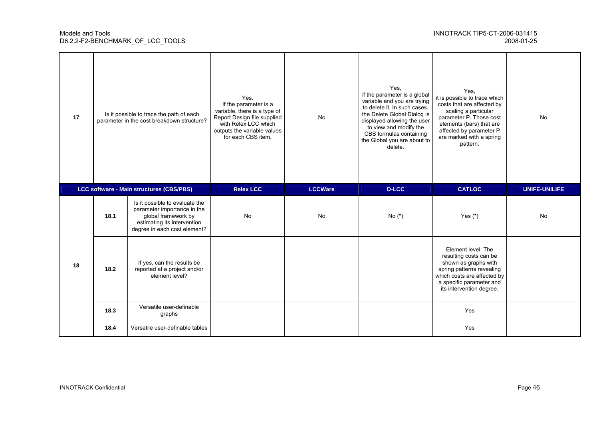| 17 | Is it possible to trace the path of each<br>parameter in the cost breakdown structure?<br>LCC software - Main structures (CBS/PBS) |                                                                                                                                                     | Yes.<br>If the parameter is a<br>variable, there is a type of<br>Report Design file supplied<br>with Relex LCC which<br>outputs the variable values<br>for each CBS item. | No             | Yes.<br>if the parameter is a global<br>variable and you are trying<br>to delete it. In such cases,<br>the Delete Global Dialog is<br>displayed allowing the user<br>to view and modify the<br>CBS formulas containing<br>the Global you are about to<br>delete. | Yes.<br>it is possible to trace which<br>costs that are affected by<br>scaling a particular<br>parameter P. Those cost<br>elements (bars) that are<br>affected by parameter P<br>are marked with a spring<br>pattern. | <b>No</b>     |
|----|------------------------------------------------------------------------------------------------------------------------------------|-----------------------------------------------------------------------------------------------------------------------------------------------------|---------------------------------------------------------------------------------------------------------------------------------------------------------------------------|----------------|------------------------------------------------------------------------------------------------------------------------------------------------------------------------------------------------------------------------------------------------------------------|-----------------------------------------------------------------------------------------------------------------------------------------------------------------------------------------------------------------------|---------------|
|    |                                                                                                                                    |                                                                                                                                                     | <b>Relex LCC</b>                                                                                                                                                          | <b>LCCWare</b> | <b>D-LCC</b>                                                                                                                                                                                                                                                     | <b>CATLOC</b>                                                                                                                                                                                                         | UNIFE-UNILIFE |
|    | 18.1                                                                                                                               | Is it possible to evaluate the<br>parameter importance in the<br>global framework by<br>estimating its intervention<br>degree in each cost element? | <b>No</b>                                                                                                                                                                 | <b>No</b>      | No $(*)$                                                                                                                                                                                                                                                         | Yes $(*)$                                                                                                                                                                                                             | No            |
| 18 | 18.2                                                                                                                               | If yes, can the results be<br>reported at a project and/or<br>element level?                                                                        |                                                                                                                                                                           |                |                                                                                                                                                                                                                                                                  | Element level. The<br>resulting costs can be<br>shown as graphs with<br>spring patterns revealing<br>which costs are affected by<br>a specific parameter and<br>its intervention degree.                              |               |
|    | 18.3                                                                                                                               | Versatile user-definable<br>graphs                                                                                                                  |                                                                                                                                                                           |                |                                                                                                                                                                                                                                                                  | Yes                                                                                                                                                                                                                   |               |
|    |                                                                                                                                    |                                                                                                                                                     |                                                                                                                                                                           |                |                                                                                                                                                                                                                                                                  |                                                                                                                                                                                                                       |               |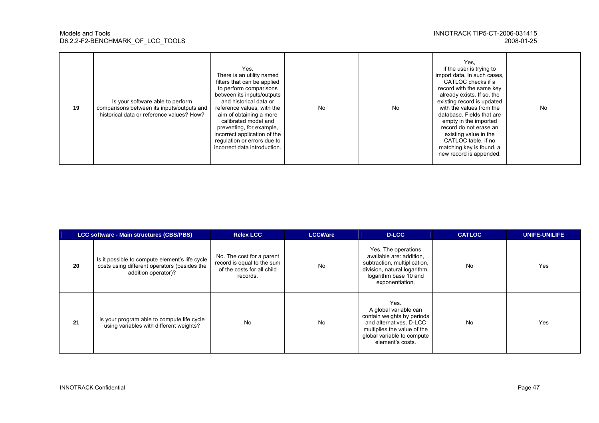| 19 | Is your software able to perform<br>comparisons between its inputs/outputs and<br>historical data or reference values? How? | Yes.<br>There is an utility named<br>filters that can be applied<br>to perform comparisons<br>between its inputs/outputs<br>and historical data or<br>reference values, with the<br>aim of obtaining a more<br>calibrated model and<br>preventing, for example,<br>incorrect application of the<br>regulation or errors due to<br>incorrect data introduction. | No | <b>No</b> | Yes,<br>if the user is trying to<br>import data. In such cases,<br>CATLOC checks if a<br>record with the same key<br>already exists. If so, the<br>existing record is updated<br>with the values from the<br>database. Fields that are<br>empty in the imported<br>record do not erase an<br>existing value in the<br>CATLOC table. If no<br>matching key is found, a<br>new record is appended. | No |
|----|-----------------------------------------------------------------------------------------------------------------------------|----------------------------------------------------------------------------------------------------------------------------------------------------------------------------------------------------------------------------------------------------------------------------------------------------------------------------------------------------------------|----|-----------|--------------------------------------------------------------------------------------------------------------------------------------------------------------------------------------------------------------------------------------------------------------------------------------------------------------------------------------------------------------------------------------------------|----|
|----|-----------------------------------------------------------------------------------------------------------------------------|----------------------------------------------------------------------------------------------------------------------------------------------------------------------------------------------------------------------------------------------------------------------------------------------------------------------------------------------------------------|----|-----------|--------------------------------------------------------------------------------------------------------------------------------------------------------------------------------------------------------------------------------------------------------------------------------------------------------------------------------------------------------------------------------------------------|----|

|    | LCC software - Main structures (CBS/PBS)                                                                              | <b>Relex LCC</b>                                                                                  | <b>LCCWare</b> | D-LCC                                                                                                                                                                   | <b>CATLOC</b> | UNIFE-UNILIFE |
|----|-----------------------------------------------------------------------------------------------------------------------|---------------------------------------------------------------------------------------------------|----------------|-------------------------------------------------------------------------------------------------------------------------------------------------------------------------|---------------|---------------|
| 20 | Is it possible to compute element's life cycle<br>costs using different operators (besides the<br>addition operator)? | No. The cost for a parent<br>record is equal to the sum<br>of the costs for all child<br>records. | No             | Yes. The operations<br>available are: addition,<br>subtraction, multiplication,<br>division, natural logarithm,<br>logarithm base 10 and<br>exponentiation.             | <b>No</b>     | Yes           |
| 21 | Is your program able to compute life cycle<br>using variables with different weights?                                 | <b>No</b>                                                                                         | <b>No</b>      | Yes.<br>A global variable can<br>contain weights by periods<br>and alternatives. D-LCC<br>multiplies the value of the<br>global variable to compute<br>element's costs. | <b>No</b>     | Yes           |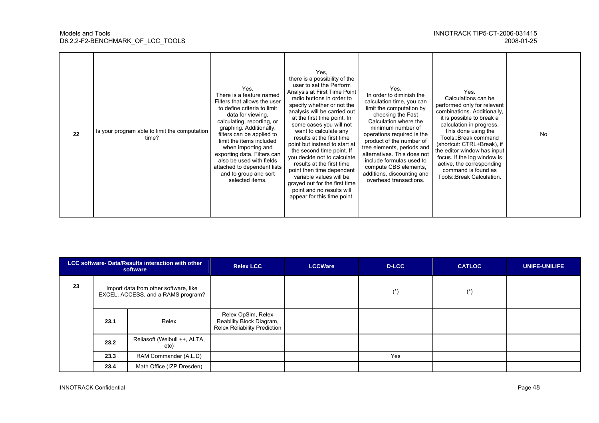| 22 | Is your program able to limit the computation<br>time? | Yes.<br>There is a feature named<br>Filters that allows the user<br>to define criteria to limit<br>data for viewing,<br>calculating, reporting, or<br>graphing. Additionally,<br>filters can be applied to<br>limit the items included<br>when importing and<br>exporting data. Filters can<br>also be used with fields<br>attached to dependent lists<br>and to group and sort<br>selected items. | Yes.<br>there is a possibility of the<br>user to set the Perform<br>Analysis at First Time Point<br>radio buttons in order to<br>specify whether or not the<br>analysis will be carried out<br>at the first time point. In<br>some cases you will not<br>want to calculate any<br>results at the first time<br>point but instead to start at<br>the second time point. If<br>you decide not to calculate<br>results at the first time<br>point then time dependent<br>variable values will be<br>grayed out for the first time<br>point and no results will<br>appear for this time point. | Yes.<br>In order to diminish the<br>calculation time, you can<br>limit the computation by<br>checking the Fast<br>Calculation where the<br>minimum number of<br>operations required is the<br>product of the number of<br>tree elements, periods and<br>alternatives. This does not<br>include formulas used to<br>compute CBS elements,<br>additions, discounting and<br>overhead transactions. | Yes.<br>Calculations can be<br>performed only for relevant<br>combinations. Additionally,<br>it is possible to break a<br>calculation in progress.<br>This done using the<br>Tools::Break command<br>(shortcut: CTRL+Break), if<br>the editor window has input<br>focus. If the log window is<br>active, the corresponding<br>command is found as<br>Tools::Break Calculation. | <b>No</b> |
|----|--------------------------------------------------------|----------------------------------------------------------------------------------------------------------------------------------------------------------------------------------------------------------------------------------------------------------------------------------------------------------------------------------------------------------------------------------------------------|--------------------------------------------------------------------------------------------------------------------------------------------------------------------------------------------------------------------------------------------------------------------------------------------------------------------------------------------------------------------------------------------------------------------------------------------------------------------------------------------------------------------------------------------------------------------------------------------|--------------------------------------------------------------------------------------------------------------------------------------------------------------------------------------------------------------------------------------------------------------------------------------------------------------------------------------------------------------------------------------------------|--------------------------------------------------------------------------------------------------------------------------------------------------------------------------------------------------------------------------------------------------------------------------------------------------------------------------------------------------------------------------------|-----------|
|----|--------------------------------------------------------|----------------------------------------------------------------------------------------------------------------------------------------------------------------------------------------------------------------------------------------------------------------------------------------------------------------------------------------------------------------------------------------------------|--------------------------------------------------------------------------------------------------------------------------------------------------------------------------------------------------------------------------------------------------------------------------------------------------------------------------------------------------------------------------------------------------------------------------------------------------------------------------------------------------------------------------------------------------------------------------------------------|--------------------------------------------------------------------------------------------------------------------------------------------------------------------------------------------------------------------------------------------------------------------------------------------------------------------------------------------------------------------------------------------------|--------------------------------------------------------------------------------------------------------------------------------------------------------------------------------------------------------------------------------------------------------------------------------------------------------------------------------------------------------------------------------|-----------|

| LCC software- Data/Results interaction with other<br>software |                                                                             | <b>Relex LCC</b>                     | <b>LCCWare</b>                                                                        | D-LCC | <b>CATLOC</b> | <b>UNIFE-UNILIFE</b> |  |
|---------------------------------------------------------------|-----------------------------------------------------------------------------|--------------------------------------|---------------------------------------------------------------------------------------|-------|---------------|----------------------|--|
| 23                                                            | Import data from other software, like<br>EXCEL, ACCESS, and a RAMS program? |                                      |                                                                                       |       | $(\dot{a})$   | $(*)$                |  |
|                                                               | 23.1                                                                        | Relex                                | Relex OpSim, Relex<br>Reability Block Diagram,<br><b>Relex Reliability Prediction</b> |       |               |                      |  |
|                                                               | 23.2                                                                        | Reliasoft (Weibull ++, ALTA,<br>etc) |                                                                                       |       |               |                      |  |
|                                                               | 23.3                                                                        | RAM Commander (A.L.D)                |                                                                                       |       | Yes           |                      |  |
|                                                               | 23.4                                                                        | Math Office (IZP Dresden)            |                                                                                       |       |               |                      |  |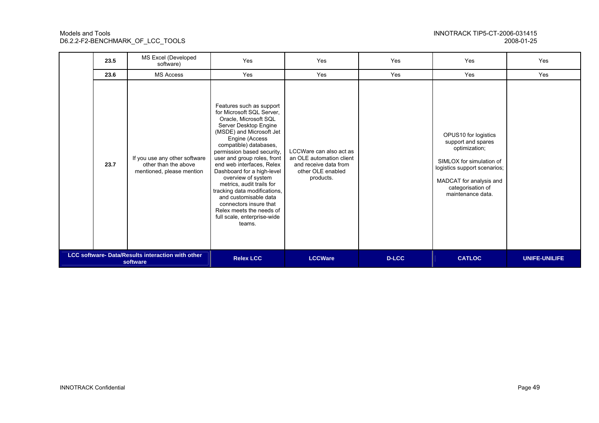| NNOTRACK TIP5-CT-2006-031415 |            |
|------------------------------|------------|
|                              | 2008-01-25 |

|                                                                      | 23.5 | MS Excel (Developed<br>software)                                                   | Yes                                                                                                                                                                                                                                                                                                                                                                                                                                                                                                                | Yes                                                                                                            | Yes           | Yes                                                                                                                                                                                          | Yes |
|----------------------------------------------------------------------|------|------------------------------------------------------------------------------------|--------------------------------------------------------------------------------------------------------------------------------------------------------------------------------------------------------------------------------------------------------------------------------------------------------------------------------------------------------------------------------------------------------------------------------------------------------------------------------------------------------------------|----------------------------------------------------------------------------------------------------------------|---------------|----------------------------------------------------------------------------------------------------------------------------------------------------------------------------------------------|-----|
|                                                                      | 23.6 | <b>MS Access</b>                                                                   | Yes                                                                                                                                                                                                                                                                                                                                                                                                                                                                                                                | Yes                                                                                                            | Yes           | Yes                                                                                                                                                                                          | Yes |
|                                                                      | 23.7 | If you use any other software<br>other than the above<br>mentioned, please mention | Features such as support<br>for Microsoft SQL Server,<br>Oracle, Microsoft SQL<br>Server Desktop Engine<br>(MSDE) and Microsoft Jet<br>Engine (Access<br>compatible) databases,<br>permission based security,<br>user and group roles, front<br>end web interfaces, Relex<br>Dashboard for a high-level<br>overview of system<br>metrics, audit trails for<br>tracking data modifications,<br>and customisable data<br>connectors insure that<br>Relex meets the needs of<br>full scale, enterprise-wide<br>teams. | LCCWare can also act as<br>an OLE automation client<br>and receive data from<br>other OLE enabled<br>products. |               | OPUS10 for logistics<br>support and spares<br>optimization;<br>SIMLOX for simulation of<br>logistics support scenarios;<br>MADCAT for analysis and<br>categorisation of<br>maintenance data. |     |
| <b>LCC software- Data/Results interaction with other</b><br>software |      | <b>Relex LCC</b>                                                                   | <b>LCCWare</b>                                                                                                                                                                                                                                                                                                                                                                                                                                                                                                     | D-LCC                                                                                                          | <b>CATLOC</b> | <b>UNIFE-UNILIFE</b>                                                                                                                                                                         |     |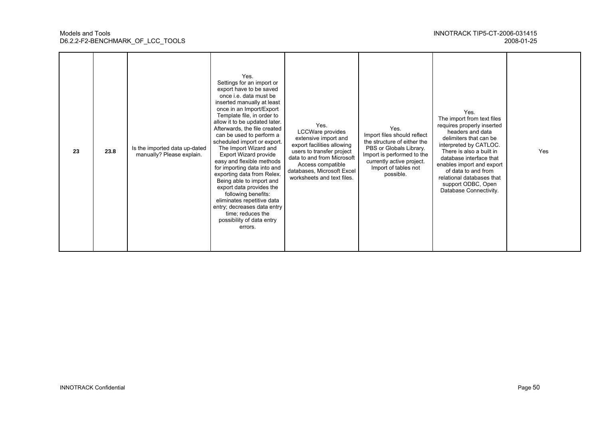| 23 | 23.8 | Is the imported data up-dated<br>manually? Please explain. | Yes.<br>Settings for an import or<br>export have to be saved<br>once i.e. data must be<br>inserted manually at least<br>once in an Import/Export<br>Template file, in order to<br>allow it to be updated later.<br>Afterwards, the file created<br>can be used to perform a<br>scheduled import or export.<br>The Import Wizard and<br>Export Wizard provide<br>easy and flexible methods<br>for importing data into and<br>exporting data from Relex.<br>Being able to import and<br>export data provides the<br>following benefits:<br>eliminates repetitive data<br>entry; decreases data entry<br>time; reduces the<br>possibility of data entry<br>errors. | Yes.<br>LCCWare provides<br>extensive import and<br>export facilities allowing<br>users to transfer project<br>data to and from Microsoft<br>Access compatible<br>databases, Microsoft Excel<br>worksheets and text files. | Yes.<br>Import files should reflect<br>the structure of either the<br>PBS or Globals Library.<br>Import is performed to the<br>currently active project.<br>Import of tables not<br>possible. | Yes.<br>The import from text files<br>requires properly inserted<br>headers and data<br>delimiters that can be<br>interpreted by CATLOC.<br>There is also a built in<br>database interface that<br>enables import and export<br>of data to and from<br>relational databases that<br>support ODBC, Open<br>Database Connectivity. | Yes |
|----|------|------------------------------------------------------------|-----------------------------------------------------------------------------------------------------------------------------------------------------------------------------------------------------------------------------------------------------------------------------------------------------------------------------------------------------------------------------------------------------------------------------------------------------------------------------------------------------------------------------------------------------------------------------------------------------------------------------------------------------------------|----------------------------------------------------------------------------------------------------------------------------------------------------------------------------------------------------------------------------|-----------------------------------------------------------------------------------------------------------------------------------------------------------------------------------------------|----------------------------------------------------------------------------------------------------------------------------------------------------------------------------------------------------------------------------------------------------------------------------------------------------------------------------------|-----|
|----|------|------------------------------------------------------------|-----------------------------------------------------------------------------------------------------------------------------------------------------------------------------------------------------------------------------------------------------------------------------------------------------------------------------------------------------------------------------------------------------------------------------------------------------------------------------------------------------------------------------------------------------------------------------------------------------------------------------------------------------------------|----------------------------------------------------------------------------------------------------------------------------------------------------------------------------------------------------------------------------|-----------------------------------------------------------------------------------------------------------------------------------------------------------------------------------------------|----------------------------------------------------------------------------------------------------------------------------------------------------------------------------------------------------------------------------------------------------------------------------------------------------------------------------------|-----|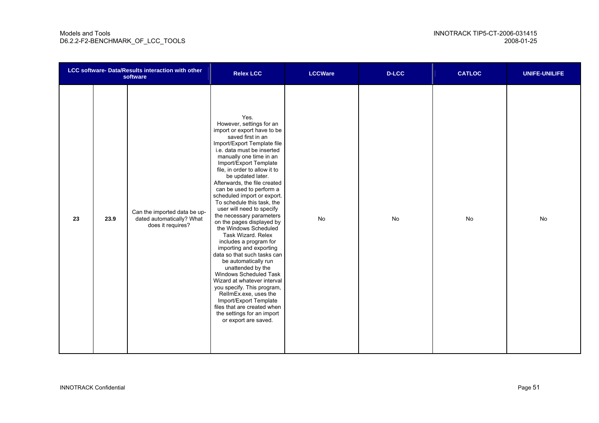| LCC software- Data/Results interaction with other<br>software |      | <b>Relex LCC</b>                                                               | <b>LCCWare</b>                                                                                                                                                                                                                                                                                                                                                                                                                                                                                                                                                                                                                                                                                                                                                                                                                                                                             | <b>D-LCC</b> | <b>CATLOC</b> | <b>UNIFE-UNILIFE</b> |    |
|---------------------------------------------------------------|------|--------------------------------------------------------------------------------|--------------------------------------------------------------------------------------------------------------------------------------------------------------------------------------------------------------------------------------------------------------------------------------------------------------------------------------------------------------------------------------------------------------------------------------------------------------------------------------------------------------------------------------------------------------------------------------------------------------------------------------------------------------------------------------------------------------------------------------------------------------------------------------------------------------------------------------------------------------------------------------------|--------------|---------------|----------------------|----|
| 23                                                            | 23.9 | Can the imported data be up-<br>dated automatically? What<br>does it requires? | Yes.<br>However, settings for an<br>import or export have to be<br>saved first in an<br>Import/Export Template file<br>i.e. data must be inserted<br>manually one time in an<br>Import/Export Template<br>file, in order to allow it to<br>be updated later.<br>Afterwards, the file created<br>can be used to perform a<br>scheduled import or export.<br>To schedule this task, the<br>user will need to specify<br>the necessary parameters<br>on the pages displayed by<br>the Windows Scheduled<br>Task Wizard. Relex<br>includes a program for<br>importing and exporting<br>data so that such tasks can<br>be automatically run<br>unattended by the<br>Windows Scheduled Task<br>Wizard at whatever interval<br>you specify. This program,<br>RellmEx.exe, uses the<br>Import/Export Template<br>files that are created when<br>the settings for an import<br>or export are saved. | No           | No            | No                   | No |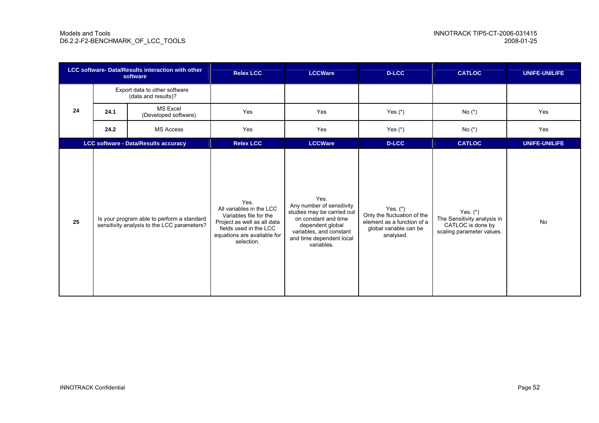| <b>LCC software- Data/Results interaction with other</b><br>software |      | <b>Relex LCC</b>                                                                          | <b>LCCWare</b>                                                                                                                                                   | <b>D-LCC</b>                                                                                                                                                                     | <b>CATLOC</b>                                                                                                  | <b>UNIFE-UNILIFE</b>                                                                        |                      |
|----------------------------------------------------------------------|------|-------------------------------------------------------------------------------------------|------------------------------------------------------------------------------------------------------------------------------------------------------------------|----------------------------------------------------------------------------------------------------------------------------------------------------------------------------------|----------------------------------------------------------------------------------------------------------------|---------------------------------------------------------------------------------------------|----------------------|
|                                                                      |      | Export data to other software<br>(data and results)?                                      |                                                                                                                                                                  |                                                                                                                                                                                  |                                                                                                                |                                                                                             |                      |
| 24                                                                   | 24.1 | <b>MS Excel</b><br>(Developed software)                                                   | Yes                                                                                                                                                              | Yes                                                                                                                                                                              | Yes $(*)$                                                                                                      | $No(^{*})$                                                                                  | Yes                  |
|                                                                      | 24.2 | <b>MS Access</b>                                                                          | Yes                                                                                                                                                              | Yes                                                                                                                                                                              | Yes $(*)$                                                                                                      | No $(*)$                                                                                    | Yes                  |
|                                                                      |      | <b>LCC software - Data/Results accuracy</b>                                               | <b>Relex LCC</b>                                                                                                                                                 | <b>LCCWare</b>                                                                                                                                                                   | D-LCC                                                                                                          | <b>CATLOC</b>                                                                               | <b>UNIFE-UNILIFE</b> |
| 25                                                                   |      | Is your program able to perform a standard<br>sensitivity analysis to the LCC parameters? | Yes.<br>All variables in the LCC<br>Variables file for the<br>Project as well as all data<br>fields used in the LCC<br>equations are available for<br>selection. | Yes.<br>Any number of sensitivity<br>studies may be carried out<br>on constant and time<br>dependent global<br>variables, and constant<br>and time dependent local<br>variables. | Yes. $(*)$<br>Only the fluctuation of the<br>element as a function of a<br>global variable can be<br>analysed. | Yes. $(*)$<br>The Sensitivity analysis in<br>CATLOC is done by<br>scaling parameter values. | <b>No</b>            |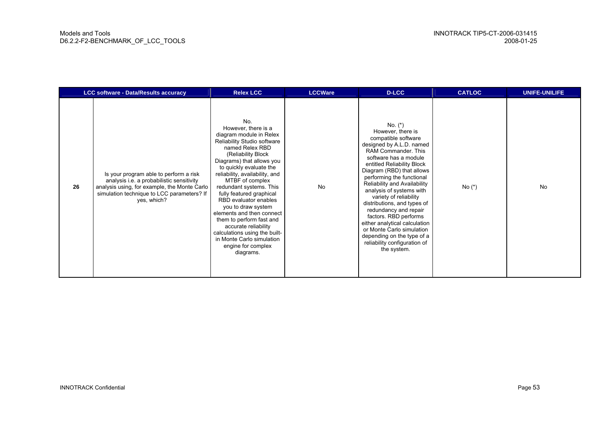|    | <b>LCC software - Data/Results accuracy</b>                                                                                                                                                      | <b>Relex LCC</b>                                                                                                                                                                                                                                                                                                                                                                                                                                                                                                                   | <b>LCCWare</b> | <b>D-LCC</b>                                                                                                                                                                                                                                                                                                                                                                                                                                                                                                                                | <b>CATLOC</b> | <b>UNIFE-UNILIFE</b> |
|----|--------------------------------------------------------------------------------------------------------------------------------------------------------------------------------------------------|------------------------------------------------------------------------------------------------------------------------------------------------------------------------------------------------------------------------------------------------------------------------------------------------------------------------------------------------------------------------------------------------------------------------------------------------------------------------------------------------------------------------------------|----------------|---------------------------------------------------------------------------------------------------------------------------------------------------------------------------------------------------------------------------------------------------------------------------------------------------------------------------------------------------------------------------------------------------------------------------------------------------------------------------------------------------------------------------------------------|---------------|----------------------|
| 26 | Is your program able to perform a risk<br>analysis i.e. a probabilistic sensitivity<br>analysis using, for example, the Monte Carlo<br>simulation technique to LCC parameters? If<br>yes, which? | No.<br>However, there is a<br>diagram module in Relex<br>Reliability Studio software<br>named Relex RBD<br>(Reliability Block<br>Diagrams) that allows you<br>to quickly evaluate the<br>reliability, availability, and<br>MTBF of complex<br>redundant systems. This<br>fully featured graphical<br>RBD evaluator enables<br>you to draw system<br>elements and then connect<br>them to perform fast and<br>accurate reliability<br>calculations using the built-<br>in Monte Carlo simulation<br>engine for complex<br>diagrams. | <b>No</b>      | No. $(*)$<br>However, there is<br>compatible software<br>designed by A.L.D. named<br>RAM Commander. This<br>software has a module<br>entitled Reliability Block<br>Diagram (RBD) that allows<br>performing the functional<br>Reliability and Availability<br>analysis of systems with<br>variety of reliability<br>distributions, and types of<br>redundancy and repair<br>factors. RBD performs<br>either analytical calculation<br>or Monte Carlo simulation<br>depending on the type of a<br>reliability configuration of<br>the system. | No $(*)$      | <b>No</b>            |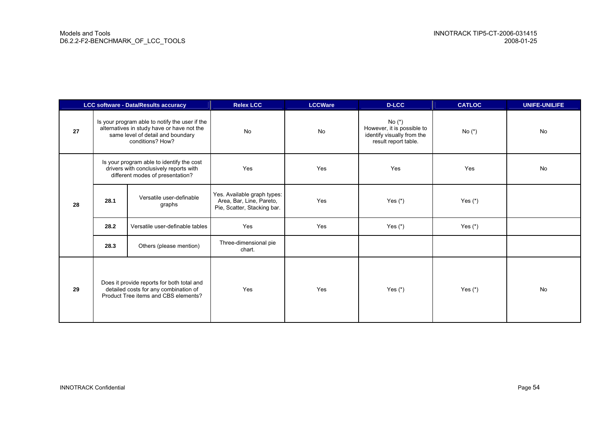| LCC software - Data/Results accuracy                                                                                              |                                                                                                                                                       |                                    | <b>Relex LCC</b>                                                                       | <b>LCCWare</b> | <b>D-LCC</b>                                                                                 | <b>CATLOC</b> | <b>UNIFE-UNILIFE</b> |
|-----------------------------------------------------------------------------------------------------------------------------------|-------------------------------------------------------------------------------------------------------------------------------------------------------|------------------------------------|----------------------------------------------------------------------------------------|----------------|----------------------------------------------------------------------------------------------|---------------|----------------------|
| 27                                                                                                                                | Is your program able to notify the user if the<br>alternatives in study have or have not the<br>same level of detail and boundary<br>conditions? How? |                                    | No                                                                                     | <b>No</b>      | No $(*)$<br>However, it is possible to<br>identify visually from the<br>result report table. | No $(*)$      | No                   |
| Is your program able to identify the cost<br>drivers with conclusively reports with<br>different modes of presentation?           |                                                                                                                                                       | Yes                                | Yes                                                                                    | Yes            | Yes                                                                                          | No            |                      |
| 28                                                                                                                                | 28.1                                                                                                                                                  | Versatile user-definable<br>graphs | Yes. Available graph types:<br>Area, Bar, Line, Pareto,<br>Pie, Scatter, Stacking bar. | Yes            | Yes $(*)$                                                                                    | Yes (*)       |                      |
|                                                                                                                                   | 28.2                                                                                                                                                  | Versatile user-definable tables    | Yes                                                                                    | Yes            | Yes $(*)$                                                                                    | Yes $(*)$     |                      |
|                                                                                                                                   | 28.3                                                                                                                                                  | Others (please mention)            | Three-dimensional pie<br>chart.                                                        |                |                                                                                              |               |                      |
| Does it provide reports for both total and<br>detailed costs for any combination of<br>29<br>Product Tree items and CBS elements? |                                                                                                                                                       | Yes                                | Yes                                                                                    | Yes $(*)$      | Yes $(*)$                                                                                    | <b>No</b>     |                      |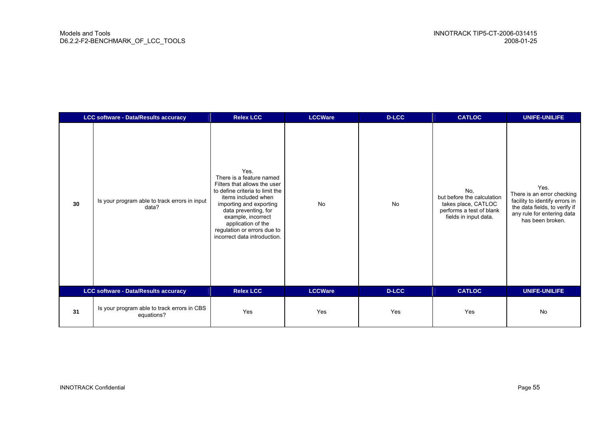| <b>LCC software - Data/Results accuracy</b> |                                                           | <b>Relex LCC</b>                                                                                                                                                                                                                                                                         | <b>LCCWare</b> | <b>D-LCC</b> | <b>CATLOC</b>                                                                                                 | <b>UNIFE-UNILIFE</b>                                                                                                                                    |
|---------------------------------------------|-----------------------------------------------------------|------------------------------------------------------------------------------------------------------------------------------------------------------------------------------------------------------------------------------------------------------------------------------------------|----------------|--------------|---------------------------------------------------------------------------------------------------------------|---------------------------------------------------------------------------------------------------------------------------------------------------------|
| 30                                          | Is your program able to track errors in input<br>data?    | Yes.<br>There is a feature named<br>Filters that allows the user<br>to define criteria to limit the<br>items included when<br>importing and exporting<br>data preventing, for<br>example, incorrect<br>application of the<br>regulation or errors due to<br>incorrect data introduction. | <b>No</b>      | <b>No</b>    | No.<br>but before the calculation<br>takes place, CATLOC<br>performs a test of blank<br>fields in input data. | Yes.<br>There is an error checking<br>facility to identify errors in<br>the data fields, to verify if<br>any rule for entering data<br>has been broken. |
| LCC software - Data/Results accuracy        |                                                           | <b>Relex LCC</b>                                                                                                                                                                                                                                                                         | <b>LCCWare</b> | <b>D-LCC</b> | <b>CATLOC</b>                                                                                                 | <b>UNIFE-UNILIFE</b>                                                                                                                                    |
| 31                                          | Is your program able to track errors in CBS<br>equations? | Yes                                                                                                                                                                                                                                                                                      | Yes            | Yes          | Yes                                                                                                           | <b>No</b>                                                                                                                                               |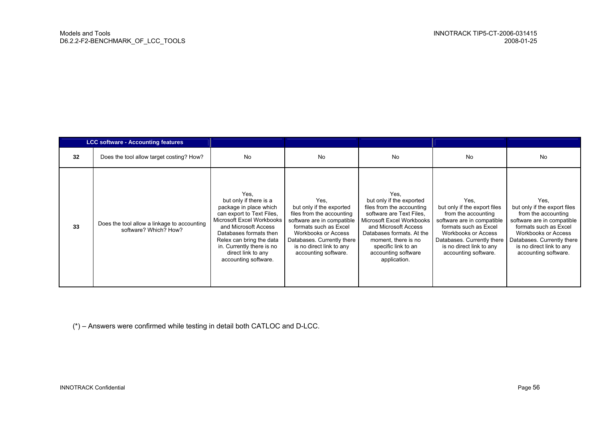|    | <b>LCC software - Accounting features</b>                            |                                                                                                                                                                                                                                                                             |                                                                                                                                                                                                                               |                                                                                                                                                                                                                                                                  |                                                                                                                                                                                                                                    |                                                                                                                                                                                                                                    |
|----|----------------------------------------------------------------------|-----------------------------------------------------------------------------------------------------------------------------------------------------------------------------------------------------------------------------------------------------------------------------|-------------------------------------------------------------------------------------------------------------------------------------------------------------------------------------------------------------------------------|------------------------------------------------------------------------------------------------------------------------------------------------------------------------------------------------------------------------------------------------------------------|------------------------------------------------------------------------------------------------------------------------------------------------------------------------------------------------------------------------------------|------------------------------------------------------------------------------------------------------------------------------------------------------------------------------------------------------------------------------------|
| 32 | Does the tool allow target costing? How?                             | No                                                                                                                                                                                                                                                                          | <b>No</b>                                                                                                                                                                                                                     | No                                                                                                                                                                                                                                                               | <b>No</b>                                                                                                                                                                                                                          | <b>No</b>                                                                                                                                                                                                                          |
| 33 | Does the tool allow a linkage to accounting<br>software? Which? How? | Yes,<br>but only if there is a<br>package in place which<br>can export to Text Files.<br>Microsoft Excel Workbooks<br>and Microsoft Access<br>Databases formats then<br>Relex can bring the data<br>in. Currently there is no<br>direct link to any<br>accounting software. | Yes.<br>but only if the exported<br>files from the accounting<br>software are in compatible<br>formats such as Excel<br>Workbooks or Access<br>Databases. Currently there<br>is no direct link to any<br>accounting software. | Yes.<br>but only if the exported<br>files from the accounting<br>software are Text Files.<br>Microsoft Excel Workbooks<br>and Microsoft Access<br>Databases formats. At the<br>moment, there is no<br>specific link to an<br>accounting software<br>application. | Yes.<br>but only if the export files<br>from the accounting<br>software are in compatible<br>formats such as Excel<br><b>Workbooks or Access</b><br>Databases. Currently there<br>is no direct link to any<br>accounting software. | Yes.<br>but only if the export files<br>from the accounting<br>software are in compatible<br>formats such as Excel<br><b>Workbooks or Access</b><br>Databases. Currently there<br>is no direct link to any<br>accounting software. |

(\*) – Answers were confirmed while testing in detail both CATLOC and D-LCC.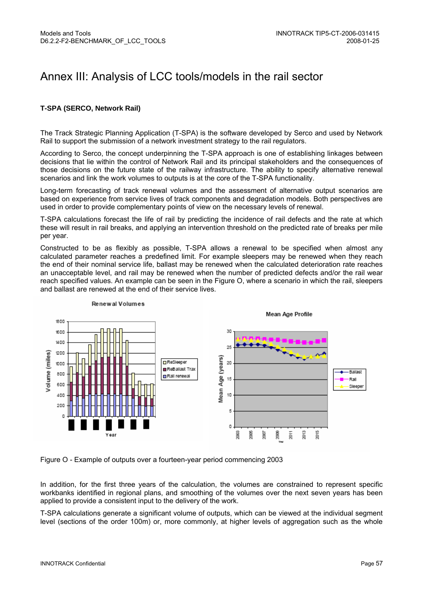## Annex III: Analysis of LCC tools/models in the rail sector

#### **T-SPA (SERCO, Network Rail)**

The Track Strategic Planning Application (T-SPA) is the software developed by Serco and used by Network Rail to support the submission of a network investment strategy to the rail regulators.

According to Serco, the concept underpinning the T-SPA approach is one of establishing linkages between decisions that lie within the control of Network Rail and its principal stakeholders and the consequences of those decisions on the future state of the railway infrastructure. The ability to specify alternative renewal scenarios and link the work volumes to outputs is at the core of the T-SPA functionality.

Long-term forecasting of track renewal volumes and the assessment of alternative output scenarios are based on experience from service lives of track components and degradation models. Both perspectives are used in order to provide complementary points of view on the necessary levels of renewal.

T-SPA calculations forecast the life of rail by predicting the incidence of rail defects and the rate at which these will result in rail breaks, and applying an intervention threshold on the predicted rate of breaks per mile per year.

Constructed to be as flexibly as possible, T-SPA allows a renewal to be specified when almost any calculated parameter reaches a predefined limit. For example sleepers may be renewed when they reach the end of their nominal service life, ballast may be renewed when the calculated deterioration rate reaches an unacceptable level, and rail may be renewed when the number of predicted defects and/or the rail wear reach specified values. An example can be seen in the Figure O, where a scenario in which the rail, sleepers and ballast are renewed at the end of their service lives.



**Renewal Volumes** 

Figure O - Example of outputs over a fourteen-year period commencing 2003

In addition, for the first three years of the calculation, the volumes are constrained to represent specific workbanks identified in regional plans, and smoothing of the volumes over the next seven years has been applied to provide a consistent input to the delivery of the work.

T-SPA calculations generate a significant volume of outputs, which can be viewed at the individual segment level (sections of the order 100m) or, more commonly, at higher levels of aggregation such as the whole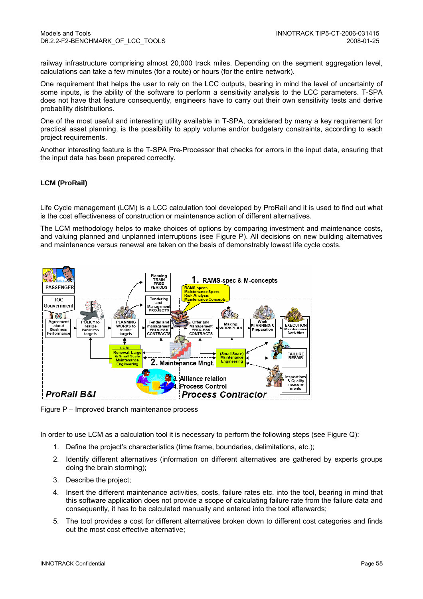railway infrastructure comprising almost 20,000 track miles. Depending on the segment aggregation level, calculations can take a few minutes (for a route) or hours (for the entire network).

One requirement that helps the user to rely on the LCC outputs, bearing in mind the level of uncertainty of some inputs, is the ability of the software to perform a sensitivity analysis to the LCC parameters. T-SPA does not have that feature consequently, engineers have to carry out their own sensitivity tests and derive probability distributions.

One of the most useful and interesting utility available in T-SPA, considered by many a key requirement for practical asset planning, is the possibility to apply volume and/or budgetary constraints, according to each project requirements.

Another interesting feature is the T-SPA Pre-Processor that checks for errors in the input data, ensuring that the input data has been prepared correctly.

#### **LCM (ProRail)**

Life Cycle management (LCM) is a LCC calculation tool developed by ProRail and it is used to find out what is the cost effectiveness of construction or maintenance action of different alternatives.

The LCM methodology helps to make choices of options by comparing investment and maintenance costs, and valuing planned and unplanned interruptions (see Figure P). All decisions on new building alternatives and maintenance versus renewal are taken on the basis of demonstrably lowest life cycle costs.



Figure P – Improved branch maintenance process

In order to use LCM as a calculation tool it is necessary to perform the following steps (see Figure Q):

- 1. Define the project's characteristics (time frame, boundaries, delimitations, etc.);
- 2. Identify different alternatives (information on different alternatives are gathered by experts groups doing the brain storming);
- 3. Describe the project;
- 4. Insert the different maintenance activities, costs, failure rates etc. into the tool, bearing in mind that this software application does not provide a scope of calculating failure rate from the failure data and consequently, it has to be calculated manually and entered into the tool afterwards;
- 5. The tool provides a cost for different alternatives broken down to different cost categories and finds out the most cost effective alternative;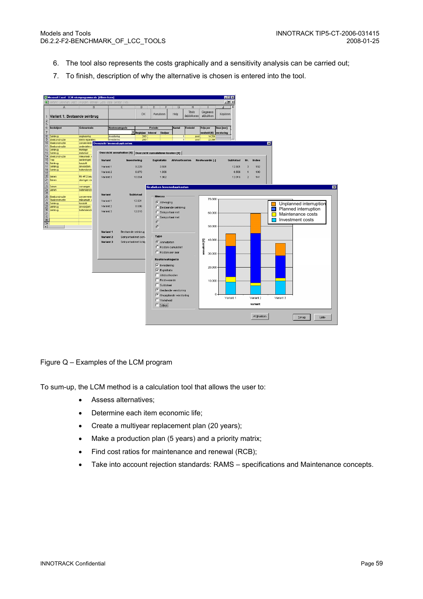- 6. The tool also represents the costs graphically and a sensitivity analysis can be carried out;
- 7. To finish, description of why the alternative is chosen is entered into the tool.



#### Figure Q – Examples of the LCM program

To sum-up, the LCM method is a calculation tool that allows the user to:

- Assess alternatives;
- Determine each item economic life;
- Create a multiyear replacement plan (20 years);
- Make a production plan (5 years) and a priority matrix;
- Find cost ratios for maintenance and renewal (RCB);
- Take into account rejection standards: RAMS specifications and Maintenance concepts.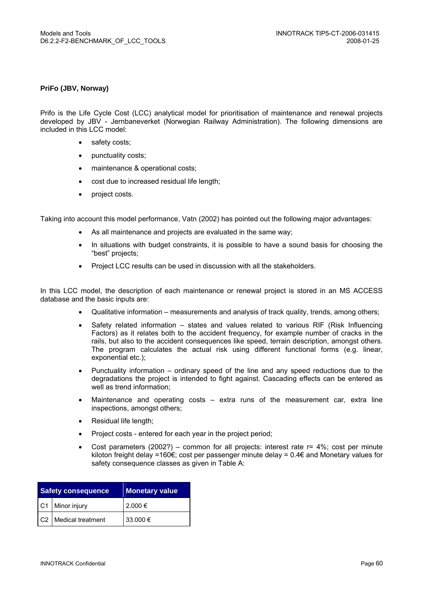#### **PriFo (JBV, Norway)**

Prifo is the Life Cycle Cost (LCC) analytical model for prioritisation of maintenance and renewal projects developed by JBV - Jernbaneverket (Norwegian Railway Administration). The following dimensions are included in this LCC model:

- safety costs;
- punctuality costs;
- maintenance & operational costs;
- cost due to increased residual life length;
- project costs.

Taking into account this model performance, Vatn (2002) has pointed out the following major advantages:

- As all maintenance and projects are evaluated in the same way;
- In situations with budget constraints, it is possible to have a sound basis for choosing the "best" projects;
- Project LCC results can be used in discussion with all the stakeholders.

In this LCC model, the description of each maintenance or renewal project is stored in an MS ACCESS database and the basic inputs are:

- Qualitative information measurements and analysis of track quality, trends, among others;
- Safety related information states and values related to various RIF (Risk Influencing Factors) as it relates both to the accident frequency, for example number of cracks in the rails, but also to the accident consequences like speed, terrain description, amongst others. The program calculates the actual risk using different functional forms (e.g. linear, exponential etc.);
- Punctuality information ordinary speed of the line and any speed reductions due to the degradations the project is intended to fight against. Cascading effects can be entered as well as trend information;
- Maintenance and operating costs extra runs of the measurement car, extra line inspections, amongst others;
- Residual life length;
- Project costs entered for each year in the project period;
- Cost parameters  $(2002?)$  common for all projects: interest rate  $r = 4\%$ ; cost per minute kiloton freight delay =160€; cost per passenger minute delay = 0.4€ and Monetary values for safety consequence classes as given in Table A:

| <b>Safety consequence</b> | <b>Monetary value</b> |  |
|---------------------------|-----------------------|--|
| C1 Minor injury           | 2.000 €               |  |
| C2 Medical treatment      | 33.000 €              |  |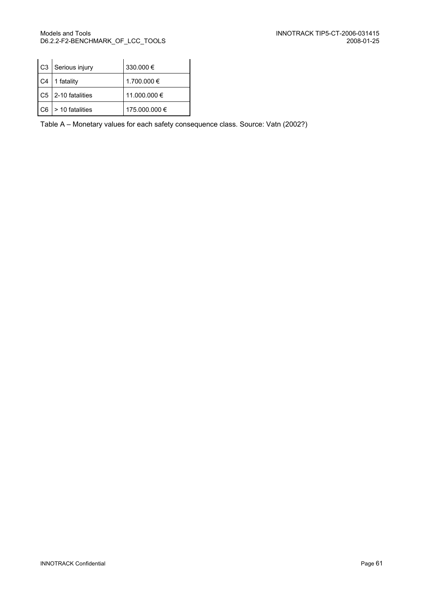|    | C3   Serious injury    | 330.000 €     |
|----|------------------------|---------------|
| C4 | 1 fatality             | 1.700.000 €   |
|    | C5 2-10 fatalities     | 11.000.000 €  |
|    | $ C6  > 10$ fatalities | 175.000.000 € |

Table A – Monetary values for each safety consequence class. Source: Vatn (2002?)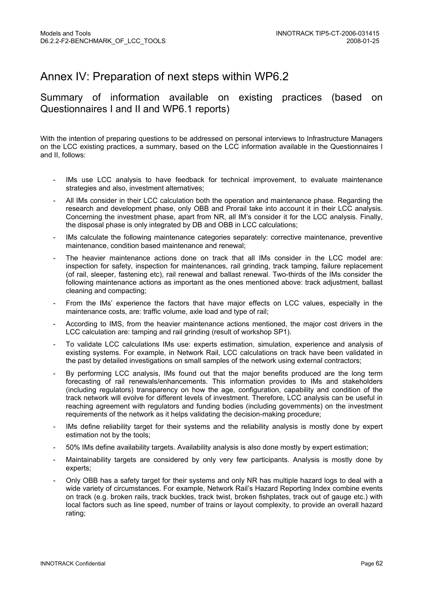## Annex IV: Preparation of next steps within WP6.2

#### Summary of information available on existing practices (based on Questionnaires I and II and WP6.1 reports)

With the intention of preparing questions to be addressed on personal interviews to Infrastructure Managers on the LCC existing practices, a summary, based on the LCC information available in the Questionnaires I and II, follows:

- IMs use LCC analysis to have feedback for technical improvement, to evaluate maintenance strategies and also, investment alternatives;
- All IMs consider in their LCC calculation both the operation and maintenance phase. Regarding the research and development phase, only OBB and Prorail take into account it in their LCC analysis. Concerning the investment phase, apart from NR, all IM's consider it for the LCC analysis. Finally, the disposal phase is only integrated by DB and OBB in LCC calculations;
- IMs calculate the following maintenance categories separately: corrective maintenance, preventive maintenance, condition based maintenance and renewal;
- The heavier maintenance actions done on track that all IMs consider in the LCC model are: inspection for safety, inspection for maintenances, rail grinding, track tamping, failure replacement (of rail, sleeper, fastening etc), rail renewal and ballast renewal. Two-thirds of the IMs consider the following maintenance actions as important as the ones mentioned above: track adjustment, ballast cleaning and compacting;
- From the IMs' experience the factors that have major effects on LCC values, especially in the maintenance costs, are: traffic volume, axle load and type of rail;
- According to IMS, from the heavier maintenance actions mentioned, the major cost drivers in the LCC calculation are: tamping and rail grinding (result of workshop SP1).
- To validate LCC calculations IMs use: experts estimation, simulation, experience and analysis of existing systems. For example, in Network Rail, LCC calculations on track have been validated in the past by detailed investigations on small samples of the network using external contractors;
- By performing LCC analysis, IMs found out that the major benefits produced are the long term forecasting of rail renewals/enhancements. This information provides to IMs and stakeholders (including regulators) transparency on how the age, configuration, capability and condition of the track network will evolve for different levels of investment. Therefore, LCC analysis can be useful in reaching agreement with regulators and funding bodies (including governments) on the investment requirements of the network as it helps validating the decision-making procedure;
- IMs define reliability target for their systems and the reliability analysis is mostly done by expert estimation not by the tools;
- 50% IMs define availability targets. Availability analysis is also done mostly by expert estimation;
- Maintainability targets are considered by only very few participants. Analysis is mostly done by experts;
- Only OBB has a safety target for their systems and only NR has multiple hazard logs to deal with a wide variety of circumstances. For example, Network Rail's Hazard Reporting Index combine events on track (e.g. broken rails, track buckles, track twist, broken fishplates, track out of gauge etc.) with local factors such as line speed, number of trains or layout complexity, to provide an overall hazard rating;